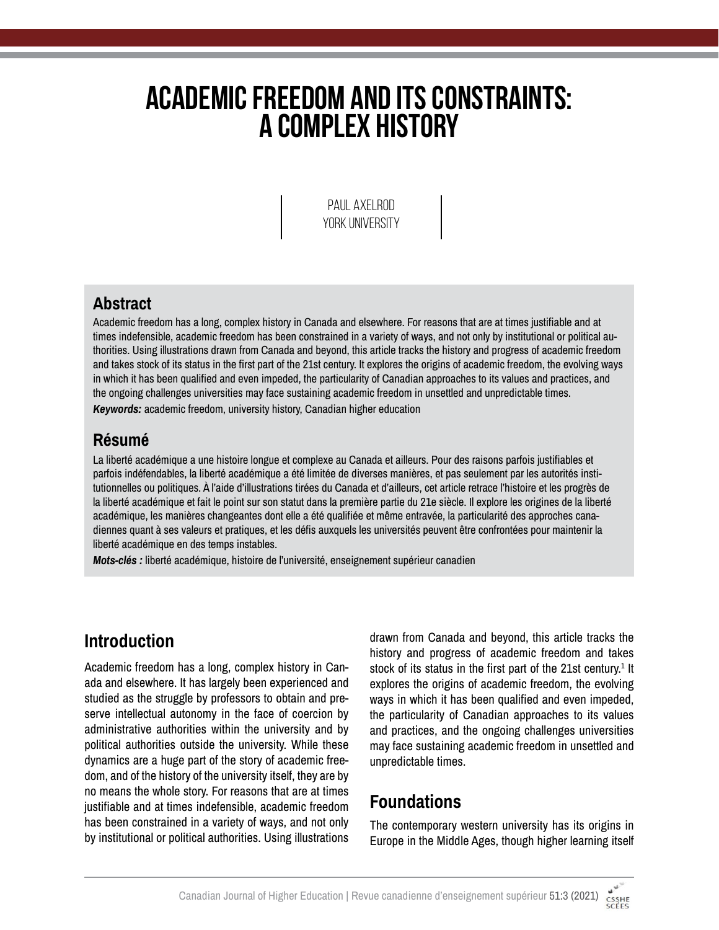# **Academic Freedom and Its Constraints: A Complex History**

Paul Axelrod YORK UNIVERSITY

#### **Abstract**

Academic freedom has a long, complex history in Canada and elsewhere. For reasons that are at times justifiable and at times indefensible, academic freedom has been constrained in a variety of ways, and not only by institutional or political authorities. Using illustrations drawn from Canada and beyond, this article tracks the history and progress of academic freedom and takes stock of its status in the first part of the 21st century. It explores the origins of academic freedom, the evolving ways in which it has been qualified and even impeded, the particularity of Canadian approaches to its values and practices, and the ongoing challenges universities may face sustaining academic freedom in unsettled and unpredictable times. *Keywords:* academic freedom, university history, Canadian higher education

#### **Résumé**

La liberté académique a une histoire longue et complexe au Canada et ailleurs. Pour des raisons parfois justifiables et parfois indéfendables, la liberté académique a été limitée de diverses manières, et pas seulement par les autorités institutionnelles ou politiques. À l'aide d'illustrations tirées du Canada et d'ailleurs, cet article retrace l'histoire et les progrès de la liberté académique et fait le point sur son statut dans la première partie du 21e siècle. Il explore les origines de la liberté académique, les manières changeantes dont elle a été qualifiée et même entravée, la particularité des approches canadiennes quant à ses valeurs et pratiques, et les défis auxquels les universités peuvent être confrontées pour maintenir la liberté académique en des temps instables.

*Mots-clés :* liberté académique, histoire de l'université, enseignement supérieur canadien

### **Introduction**

Academic freedom has a long, complex history in Canada and elsewhere. It has largely been experienced and studied as the struggle by professors to obtain and preserve intellectual autonomy in the face of coercion by administrative authorities within the university and by political authorities outside the university. While these dynamics are a huge part of the story of academic freedom, and of the history of the university itself, they are by no means the whole story. For reasons that are at times justifiable and at times indefensible, academic freedom has been constrained in a variety of ways, and not only by institutional or political authorities. Using illustrations

drawn from Canada and beyond, this article tracks the history and progress of academic freedom and takes stock of its status in the first part of the 21st century. $^1$  It explores the origins of academic freedom, the evolving ways in which it has been qualified and even impeded, the particularity of Canadian approaches to its values and practices, and the ongoing challenges universities may face sustaining academic freedom in unsettled and unpredictable times.

### **Foundations**

The contemporary western university has its origins in Europe in the Middle Ages, though higher learning itself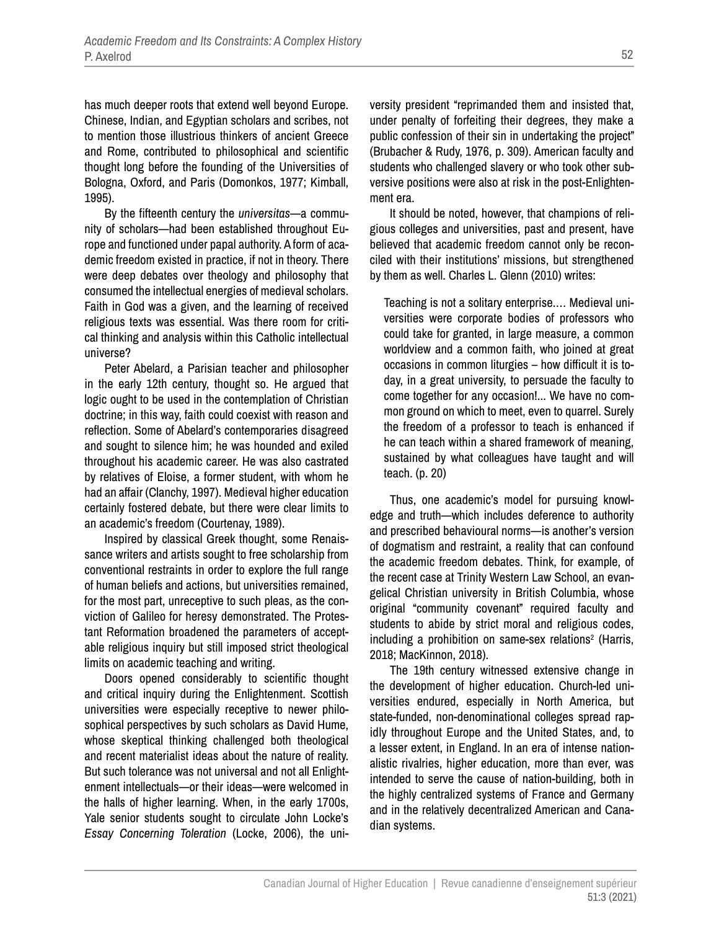has much deeper roots that extend well beyond Europe. Chinese, Indian, and Egyptian scholars and scribes, not to mention those illustrious thinkers of ancient Greece and Rome, contributed to philosophical and scientific thought long before the founding of the Universities of Bologna, Oxford, and Paris (Domonkos, 1977; Kimball, 1995).

By the fifteenth century the *universitas*—a community of scholars—had been established throughout Europe and functioned under papal authority. A form of academic freedom existed in practice, if not in theory. There were deep debates over theology and philosophy that consumed the intellectual energies of medieval scholars. Faith in God was a given, and the learning of received religious texts was essential. Was there room for critical thinking and analysis within this Catholic intellectual universe?

Peter Abelard, a Parisian teacher and philosopher in the early 12th century, thought so. He argued that logic ought to be used in the contemplation of Christian doctrine; in this way, faith could coexist with reason and reflection. Some of Abelard's contemporaries disagreed and sought to silence him; he was hounded and exiled throughout his academic career. He was also castrated by relatives of Eloise, a former student, with whom he had an affair (Clanchy, 1997). Medieval higher education certainly fostered debate, but there were clear limits to an academic's freedom (Courtenay, 1989).

Inspired by classical Greek thought, some Renaissance writers and artists sought to free scholarship from conventional restraints in order to explore the full range of human beliefs and actions, but universities remained, for the most part, unreceptive to such pleas, as the conviction of Galileo for heresy demonstrated. The Protestant Reformation broadened the parameters of acceptable religious inquiry but still imposed strict theological limits on academic teaching and writing.

Doors opened considerably to scientific thought and critical inquiry during the Enlightenment. Scottish universities were especially receptive to newer philosophical perspectives by such scholars as David Hume, whose skeptical thinking challenged both theological and recent materialist ideas about the nature of reality. But such tolerance was not universal and not all Enlightenment intellectuals—or their ideas—were welcomed in the halls of higher learning. When, in the early 1700s, Yale senior students sought to circulate John Locke's *Essay Concerning Toleration* (Locke, 2006), the university president "reprimanded them and insisted that, under penalty of forfeiting their degrees, they make a public confession of their sin in undertaking the project" (Brubacher & Rudy, 1976, p. 309). American faculty and students who challenged slavery or who took other subversive positions were also at risk in the post-Enlightenment era.

It should be noted, however, that champions of religious colleges and universities, past and present, have believed that academic freedom cannot only be reconciled with their institutions' missions, but strengthened by them as well. Charles L. Glenn (2010) writes:

Teaching is not a solitary enterprise.… Medieval universities were corporate bodies of professors who could take for granted, in large measure, a common worldview and a common faith, who joined at great occasions in common liturgies – how difficult it is today, in a great university, to persuade the faculty to come together for any occasion!... We have no common ground on which to meet, even to quarrel. Surely the freedom of a professor to teach is enhanced if he can teach within a shared framework of meaning, sustained by what colleagues have taught and will teach. (p. 20)

Thus, one academic's model for pursuing knowledge and truth—which includes deference to authority and prescribed behavioural norms—is another's version of dogmatism and restraint, a reality that can confound the academic freedom debates. Think, for example, of the recent case at Trinity Western Law School, an evangelical Christian university in British Columbia, whose original "community covenant" required faculty and students to abide by strict moral and religious codes, including a prohibition on same-sex relations<sup>2</sup> (Harris, 2018; MacKinnon, 2018).

The 19th century witnessed extensive change in the development of higher education. Church-led universities endured, especially in North America, but state-funded, non-denominational colleges spread rapidly throughout Europe and the United States, and, to a lesser extent, in England. In an era of intense nationalistic rivalries, higher education, more than ever, was intended to serve the cause of nation-building, both in the highly centralized systems of France and Germany and in the relatively decentralized American and Canadian systems.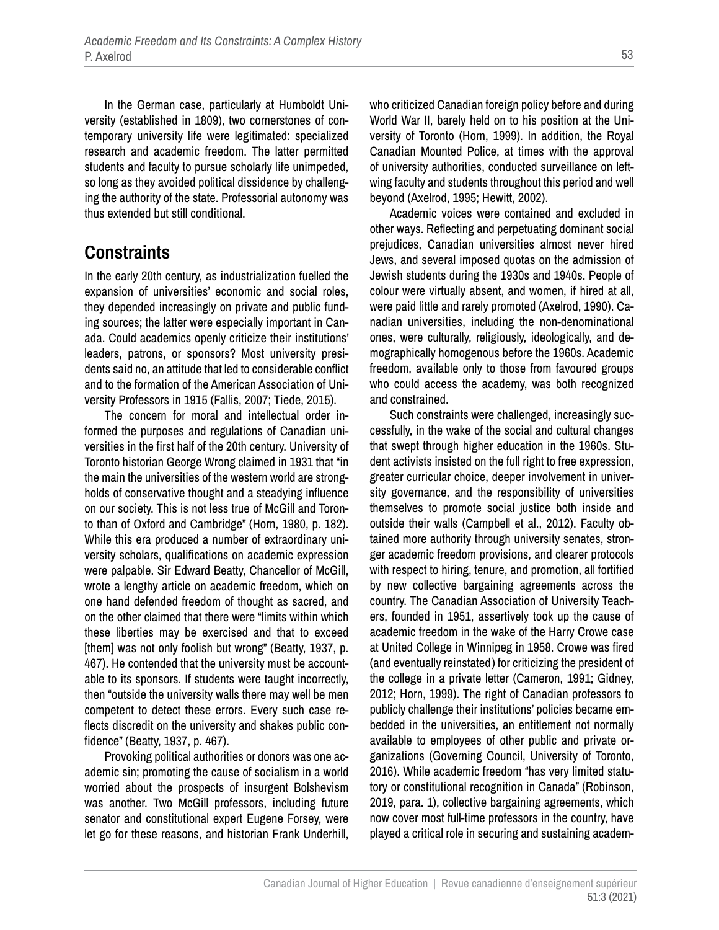In the German case, particularly at Humboldt University (established in 1809), two cornerstones of contemporary university life were legitimated: specialized research and academic freedom. The latter permitted students and faculty to pursue scholarly life unimpeded, so long as they avoided political dissidence by challenging the authority of the state. Professorial autonomy was thus extended but still conditional.

### **Constraints**

In the early 20th century, as industrialization fuelled the expansion of universities' economic and social roles, they depended increasingly on private and public funding sources; the latter were especially important in Canada. Could academics openly criticize their institutions' leaders, patrons, or sponsors? Most university presidents said no, an attitude that led to considerable conflict and to the formation of the American Association of University Professors in 1915 (Fallis, 2007; Tiede, 2015).

The concern for moral and intellectual order informed the purposes and regulations of Canadian universities in the first half of the 20th century. University of Toronto historian George Wrong claimed in 1931 that "in the main the universities of the western world are strongholds of conservative thought and a steadying influence on our society. This is not less true of McGill and Toronto than of Oxford and Cambridge" (Horn, 1980, p. 182). While this era produced a number of extraordinary university scholars, qualifications on academic expression were palpable. Sir Edward Beatty, Chancellor of McGill, wrote a lengthy article on academic freedom, which on one hand defended freedom of thought as sacred, and on the other claimed that there were "limits within which these liberties may be exercised and that to exceed [them] was not only foolish but wrong" (Beatty, 1937, p. 467). He contended that the university must be accountable to its sponsors. If students were taught incorrectly, then "outside the university walls there may well be men competent to detect these errors. Every such case reflects discredit on the university and shakes public confidence" (Beatty, 1937, p. 467).

Provoking political authorities or donors was one academic sin; promoting the cause of socialism in a world worried about the prospects of insurgent Bolshevism was another. Two McGill professors, including future senator and constitutional expert Eugene Forsey, were let go for these reasons, and historian Frank Underhill, who criticized Canadian foreign policy before and during World War II, barely held on to his position at the University of Toronto (Horn, 1999). In addition, the Royal Canadian Mounted Police, at times with the approval of university authorities, conducted surveillance on leftwing faculty and students throughout this period and well beyond (Axelrod, 1995; Hewitt, 2002).

Academic voices were contained and excluded in other ways. Reflecting and perpetuating dominant social prejudices, Canadian universities almost never hired Jews, and several imposed quotas on the admission of Jewish students during the 1930s and 1940s. People of colour were virtually absent, and women, if hired at all, were paid little and rarely promoted (Axelrod, 1990). Canadian universities, including the non-denominational ones, were culturally, religiously, ideologically, and demographically homogenous before the 1960s. Academic freedom, available only to those from favoured groups who could access the academy, was both recognized and constrained.

Such constraints were challenged, increasingly successfully, in the wake of the social and cultural changes that swept through higher education in the 1960s. Student activists insisted on the full right to free expression, greater curricular choice, deeper involvement in university governance, and the responsibility of universities themselves to promote social justice both inside and outside their walls (Campbell et al., 2012). Faculty obtained more authority through university senates, stronger academic freedom provisions, and clearer protocols with respect to hiring, tenure, and promotion, all fortified by new collective bargaining agreements across the country. The Canadian Association of University Teachers, founded in 1951, assertively took up the cause of academic freedom in the wake of the Harry Crowe case at United College in Winnipeg in 1958. Crowe was fired (and eventually reinstated) for criticizing the president of the college in a private letter (Cameron, 1991; Gidney, 2012; Horn, 1999). The right of Canadian professors to publicly challenge their institutions' policies became embedded in the universities, an entitlement not normally available to employees of other public and private organizations (Governing Council, University of Toronto, 2016). While academic freedom "has very limited statutory or constitutional recognition in Canada" (Robinson, 2019, para. 1), collective bargaining agreements, which now cover most full-time professors in the country, have played a critical role in securing and sustaining academ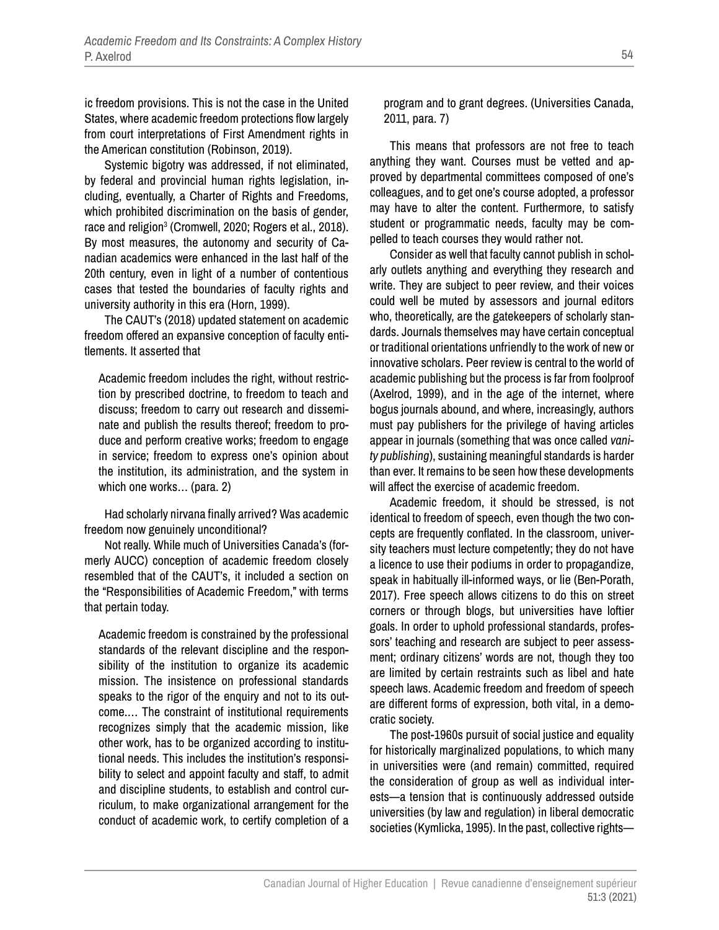ic freedom provisions. This is not the case in the United States, where academic freedom protections flow largely from court interpretations of First Amendment rights in the American constitution (Robinson, 2019).

Systemic bigotry was addressed, if not eliminated, by federal and provincial human rights legislation, including, eventually, a Charter of Rights and Freedoms, which prohibited discrimination on the basis of gender, race and religion<sup>3</sup> (Cromwell, 2020; Rogers et al., 2018). By most measures, the autonomy and security of Canadian academics were enhanced in the last half of the 20th century, even in light of a number of contentious cases that tested the boundaries of faculty rights and university authority in this era (Horn, 1999).

The CAUT's (2018) updated statement on academic freedom offered an expansive conception of faculty entitlements. It asserted that

Academic freedom includes the right, without restriction by prescribed doctrine, to freedom to teach and discuss; freedom to carry out research and disseminate and publish the results thereof; freedom to produce and perform creative works; freedom to engage in service; freedom to express one's opinion about the institution, its administration, and the system in which one works… (para. 2)

Had scholarly nirvana finally arrived? Was academic freedom now genuinely unconditional?

Not really. While much of Universities Canada's (formerly AUCC) conception of academic freedom closely resembled that of the CAUT's, it included a section on the "Responsibilities of Academic Freedom," with terms that pertain today.

Academic freedom is constrained by the professional standards of the relevant discipline and the responsibility of the institution to organize its academic mission. The insistence on professional standards speaks to the rigor of the enquiry and not to its outcome.… The constraint of institutional requirements recognizes simply that the academic mission, like other work, has to be organized according to institutional needs. This includes the institution's responsibility to select and appoint faculty and staff, to admit and discipline students, to establish and control curriculum, to make organizational arrangement for the conduct of academic work, to certify completion of a

program and to grant degrees. (Universities Canada, 2011, para. 7)

This means that professors are not free to teach anything they want. Courses must be vetted and approved by departmental committees composed of one's colleagues, and to get one's course adopted, a professor may have to alter the content. Furthermore, to satisfy student or programmatic needs, faculty may be compelled to teach courses they would rather not.

Consider as well that faculty cannot publish in scholarly outlets anything and everything they research and write. They are subject to peer review, and their voices could well be muted by assessors and journal editors who, theoretically, are the gatekeepers of scholarly standards. Journals themselves may have certain conceptual or traditional orientations unfriendly to the work of new or innovative scholars. Peer review is central to the world of academic publishing but the process is far from foolproof (Axelrod, 1999), and in the age of the internet, where bogus journals abound, and where, increasingly, authors must pay publishers for the privilege of having articles appear in journals (something that was once called *vanity publishing*), sustaining meaningful standards is harder than ever. It remains to be seen how these developments will affect the exercise of academic freedom.

Academic freedom, it should be stressed, is not identical to freedom of speech, even though the two concepts are frequently conflated. In the classroom, university teachers must lecture competently; they do not have a licence to use their podiums in order to propagandize, speak in habitually ill-informed ways, or lie (Ben-Porath, 2017). Free speech allows citizens to do this on street corners or through blogs, but universities have loftier goals. In order to uphold professional standards, professors' teaching and research are subject to peer assessment; ordinary citizens' words are not, though they too are limited by certain restraints such as libel and hate speech laws. Academic freedom and freedom of speech are different forms of expression, both vital, in a democratic society.

The post-1960s pursuit of social justice and equality for historically marginalized populations, to which many in universities were (and remain) committed, required the consideration of group as well as individual interests—a tension that is continuously addressed outside universities (by law and regulation) in liberal democratic societies (Kymlicka, 1995). In the past, collective rights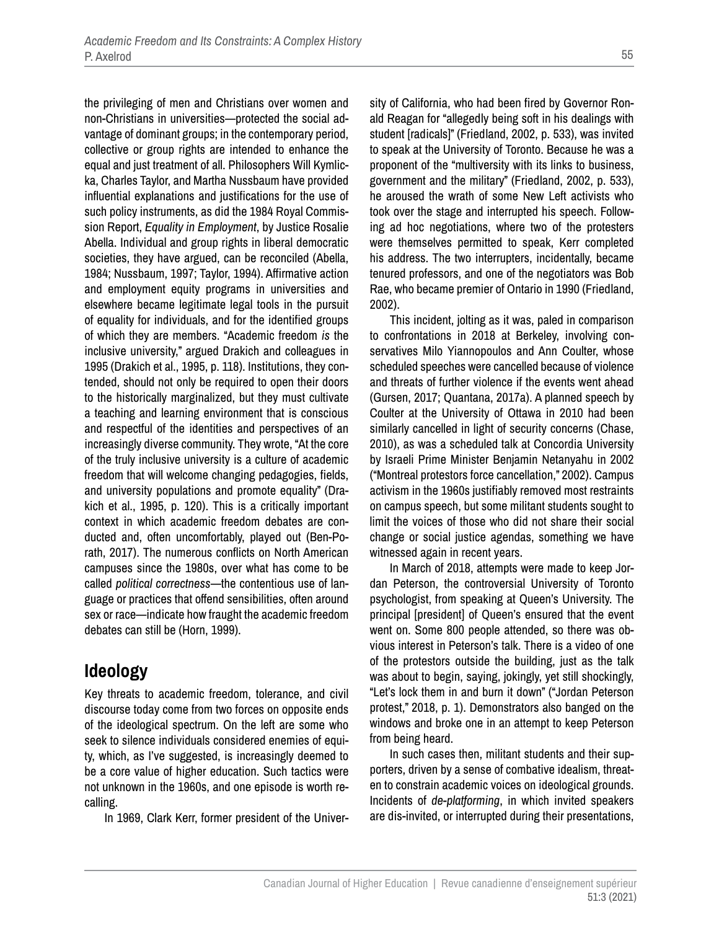the privileging of men and Christians over women and non-Christians in universities—protected the social advantage of dominant groups; in the contemporary period, collective or group rights are intended to enhance the equal and just treatment of all. Philosophers Will Kymlicka, Charles Taylor, and Martha Nussbaum have provided influential explanations and justifications for the use of such policy instruments, as did the 1984 Royal Commission Report, *Equality in Employment*, by Justice Rosalie Abella. Individual and group rights in liberal democratic societies, they have argued, can be reconciled (Abella, 1984; Nussbaum, 1997; Taylor, 1994). Affirmative action and employment equity programs in universities and elsewhere became legitimate legal tools in the pursuit of equality for individuals, and for the identified groups of which they are members. "Academic freedom *is* the inclusive university," argued Drakich and colleagues in 1995 (Drakich et al., 1995, p. 118). Institutions, they contended, should not only be required to open their doors to the historically marginalized, but they must cultivate a teaching and learning environment that is conscious and respectful of the identities and perspectives of an increasingly diverse community. They wrote, "At the core of the truly inclusive university is a culture of academic freedom that will welcome changing pedagogies, fields, and university populations and promote equality" (Drakich et al., 1995, p. 120). This is a critically important context in which academic freedom debates are conducted and, often uncomfortably, played out (Ben-Porath, 2017). The numerous conflicts on North American campuses since the 1980s, over what has come to be called *political correctness*—the contentious use of language or practices that offend sensibilities, often around sex or race—indicate how fraught the academic freedom debates can still be (Horn, 1999).

#### **Ideology**

Key threats to academic freedom, tolerance, and civil discourse today come from two forces on opposite ends of the ideological spectrum. On the left are some who seek to silence individuals considered enemies of equity, which, as I've suggested, is increasingly deemed to be a core value of higher education. Such tactics were not unknown in the 1960s, and one episode is worth recalling.

In 1969, Clark Kerr, former president of the Univer-

sity of California, who had been fired by Governor Ronald Reagan for "allegedly being soft in his dealings with student [radicals]" (Friedland, 2002, p. 533), was invited to speak at the University of Toronto. Because he was a proponent of the "multiversity with its links to business, government and the military" (Friedland, 2002, p. 533), he aroused the wrath of some New Left activists who took over the stage and interrupted his speech. Following ad hoc negotiations, where two of the protesters were themselves permitted to speak, Kerr completed his address. The two interrupters, incidentally, became tenured professors, and one of the negotiators was Bob Rae, who became premier of Ontario in 1990 (Friedland, 2002).

This incident, jolting as it was, paled in comparison to confrontations in 2018 at Berkeley, involving conservatives Milo Yiannopoulos and Ann Coulter, whose scheduled speeches were cancelled because of violence and threats of further violence if the events went ahead (Gursen, 2017; Quantana, 2017a). A planned speech by Coulter at the University of Ottawa in 2010 had been similarly cancelled in light of security concerns (Chase, 2010), as was a scheduled talk at Concordia University by Israeli Prime Minister Benjamin Netanyahu in 2002 ("Montreal protestors force cancellation," 2002). Campus activism in the 1960s justifiably removed most restraints on campus speech, but some militant students sought to limit the voices of those who did not share their social change or social justice agendas, something we have witnessed again in recent years.

In March of 2018, attempts were made to keep Jordan Peterson, the controversial University of Toronto psychologist, from speaking at Queen's University. The principal [president] of Queen's ensured that the event went on. Some 800 people attended, so there was obvious interest in Peterson's talk. There is a video of one of the protestors outside the building, just as the talk was about to begin, saying, jokingly, yet still shockingly, "Let's lock them in and burn it down" ("Jordan Peterson protest," 2018, p. 1). Demonstrators also banged on the windows and broke one in an attempt to keep Peterson from being heard.

In such cases then, militant students and their supporters, driven by a sense of combative idealism, threaten to constrain academic voices on ideological grounds. Incidents of *de-platforming*, in which invited speakers are dis-invited, or interrupted during their presentations,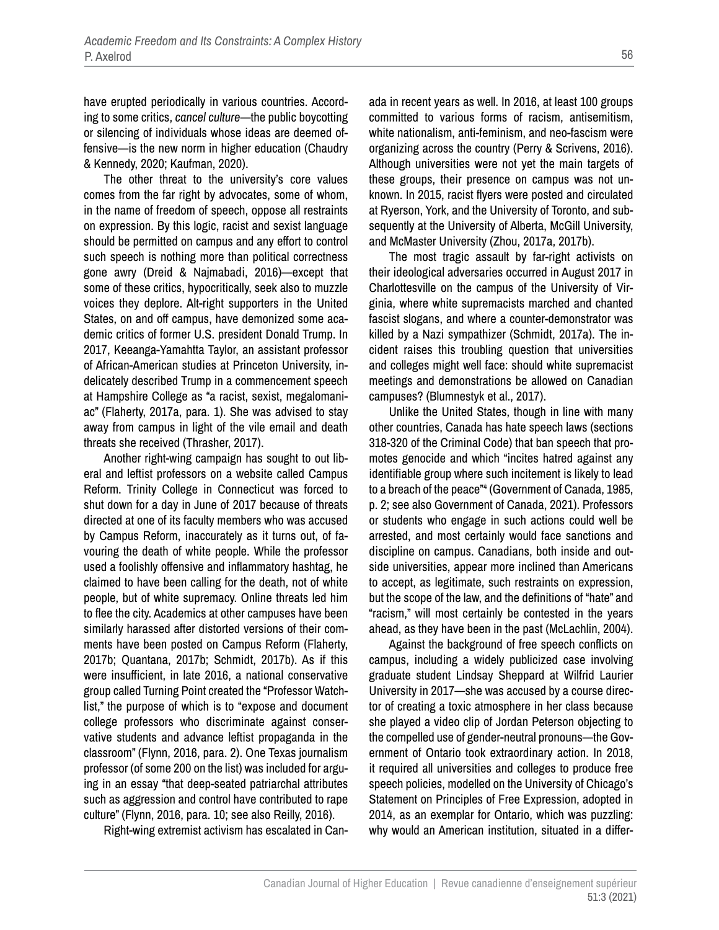have erupted periodically in various countries. According to some critics, *cancel culture*—the public boycotting or silencing of individuals whose ideas are deemed offensive—is the new norm in higher education (Chaudry & Kennedy, 2020; Kaufman, 2020).

The other threat to the university's core values comes from the far right by advocates, some of whom, in the name of freedom of speech, oppose all restraints on expression. By this logic, racist and sexist language should be permitted on campus and any effort to control such speech is nothing more than political correctness gone awry (Dreid & Najmabadi, 2016)—except that some of these critics, hypocritically, seek also to muzzle voices they deplore. Alt-right supporters in the United States, on and off campus, have demonized some academic critics of former U.S. president Donald Trump. In 2017, Keeanga-Yamahtta Taylor, an assistant professor of African-American studies at Princeton University, indelicately described Trump in a commencement speech at Hampshire College as "a racist, sexist, megalomaniac" (Flaherty, 2017a, para. 1). She was advised to stay away from campus in light of the vile email and death threats she received (Thrasher, 2017).

Another right-wing campaign has sought to out liberal and leftist professors on a website called Campus Reform. Trinity College in Connecticut was forced to shut down for a day in June of 2017 because of threats directed at one of its faculty members who was accused by Campus Reform, inaccurately as it turns out, of favouring the death of white people. While the professor used a foolishly offensive and inflammatory hashtag, he claimed to have been calling for the death, not of white people, but of white supremacy. Online threats led him to flee the city. Academics at other campuses have been similarly harassed after distorted versions of their comments have been posted on Campus Reform (Flaherty, 2017b; Quantana, 2017b; Schmidt, 2017b). As if this were insufficient, in late 2016, a national conservative group called Turning Point created the "Professor Watchlist," the purpose of which is to "expose and document college professors who discriminate against conservative students and advance leftist propaganda in the classroom" (Flynn, 2016, para. 2). One Texas journalism professor (of some 200 on the list) was included for arguing in an essay "that deep-seated patriarchal attributes such as aggression and control have contributed to rape culture" (Flynn, 2016, para. 10; see also Reilly, 2016).

Right-wing extremist activism has escalated in Can-

ada in recent years as well. In 2016, at least 100 groups committed to various forms of racism, antisemitism, white nationalism, anti-feminism, and neo-fascism were organizing across the country (Perry & Scrivens, 2016). Although universities were not yet the main targets of these groups, their presence on campus was not unknown. In 2015, racist flyers were posted and circulated at Ryerson, York, and the University of Toronto, and subsequently at the University of Alberta, McGill University, and McMaster University (Zhou, 2017a, 2017b).

The most tragic assault by far-right activists on their ideological adversaries occurred in August 2017 in Charlottesville on the campus of the University of Virginia, where white supremacists marched and chanted fascist slogans, and where a counter-demonstrator was killed by a Nazi sympathizer (Schmidt, 2017a). The incident raises this troubling question that universities and colleges might well face: should white supremacist meetings and demonstrations be allowed on Canadian campuses? (Blumnestyk et al., 2017).

Unlike the United States, though in line with many other countries, Canada has hate speech laws (sections 318-320 of the Criminal Code) that ban speech that promotes genocide and which "incites hatred against any identifiable group where such incitement is likely to lead to a breach of the peace"<sup>4</sup> (Government of Canada, 1985, p. 2; see also Government of Canada, 2021). Professors or students who engage in such actions could well be arrested, and most certainly would face sanctions and discipline on campus. Canadians, both inside and outside universities, appear more inclined than Americans to accept, as legitimate, such restraints on expression, but the scope of the law, and the definitions of "hate" and "racism," will most certainly be contested in the years ahead, as they have been in the past (McLachlin, 2004).

Against the background of free speech conflicts on campus, including a widely publicized case involving graduate student Lindsay Sheppard at Wilfrid Laurier University in 2017—she was accused by a course director of creating a toxic atmosphere in her class because she played a video clip of Jordan Peterson objecting to the compelled use of gender-neutral pronouns—the Government of Ontario took extraordinary action. In 2018, it required all universities and colleges to produce free speech policies, modelled on the University of Chicago's Statement on Principles of Free Expression, adopted in 2014, as an exemplar for Ontario, which was puzzling: why would an American institution, situated in a differ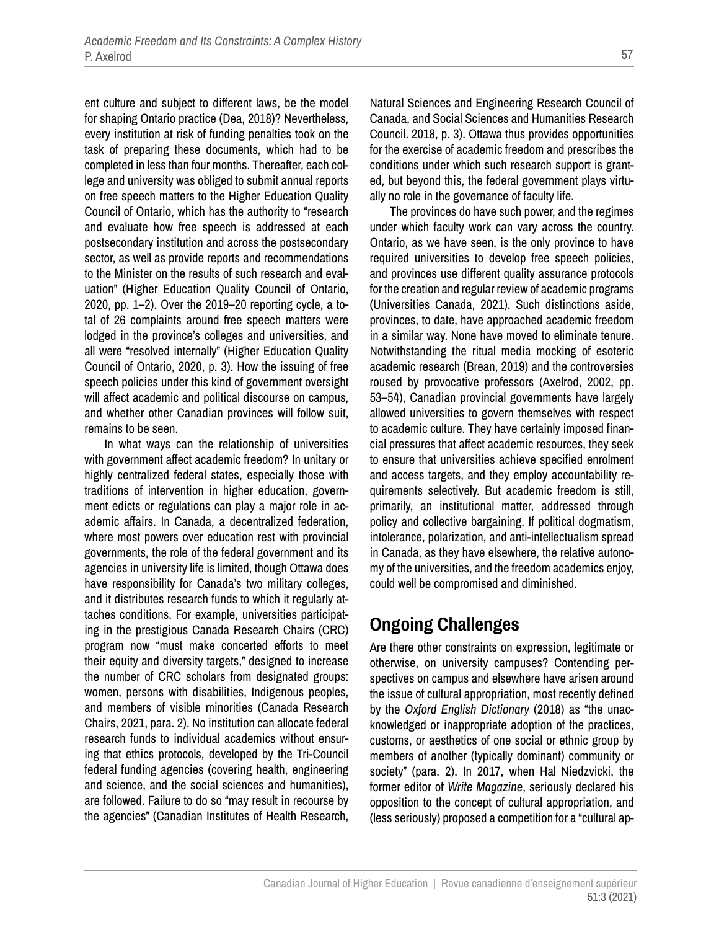ent culture and subject to different laws, be the model for shaping Ontario practice (Dea, 2018)? Nevertheless, every institution at risk of funding penalties took on the task of preparing these documents, which had to be completed in less than four months. Thereafter, each college and university was obliged to submit annual reports on free speech matters to the Higher Education Quality Council of Ontario, which has the authority to "research and evaluate how free speech is addressed at each postsecondary institution and across the postsecondary sector, as well as provide reports and recommendations to the Minister on the results of such research and evaluation" (Higher Education Quality Council of Ontario, 2020, pp. 1–2). Over the 2019–20 reporting cycle, a total of 26 complaints around free speech matters were lodged in the province's colleges and universities, and all were "resolved internally" (Higher Education Quality Council of Ontario, 2020, p. 3). How the issuing of free speech policies under this kind of government oversight will affect academic and political discourse on campus, and whether other Canadian provinces will follow suit, remains to be seen.

In what ways can the relationship of universities with government affect academic freedom? In unitary or highly centralized federal states, especially those with traditions of intervention in higher education, government edicts or regulations can play a major role in academic affairs. In Canada, a decentralized federation, where most powers over education rest with provincial governments, the role of the federal government and its agencies in university life is limited, though Ottawa does have responsibility for Canada's two military colleges, and it distributes research funds to which it regularly attaches conditions. For example, universities participating in the prestigious Canada Research Chairs (CRC) program now "must make concerted efforts to meet their equity and diversity targets," designed to increase the number of CRC scholars from designated groups: women, persons with disabilities, Indigenous peoples, and members of visible minorities (Canada Research Chairs, 2021, para. 2). No institution can allocate federal research funds to individual academics without ensuring that ethics protocols, developed by the Tri-Council federal funding agencies (covering health, engineering and science, and the social sciences and humanities), are followed. Failure to do so "may result in recourse by the agencies" (Canadian Institutes of Health Research, Natural Sciences and Engineering Research Council of Canada, and Social Sciences and Humanities Research Council. 2018, p. 3). Ottawa thus provides opportunities for the exercise of academic freedom and prescribes the conditions under which such research support is granted, but beyond this, the federal government plays virtually no role in the governance of faculty life.

The provinces do have such power, and the regimes under which faculty work can vary across the country. Ontario, as we have seen, is the only province to have required universities to develop free speech policies, and provinces use different quality assurance protocols for the creation and regular review of academic programs (Universities Canada, 2021). Such distinctions aside, provinces, to date, have approached academic freedom in a similar way. None have moved to eliminate tenure. Notwithstanding the ritual media mocking of esoteric academic research (Brean, 2019) and the controversies roused by provocative professors (Axelrod, 2002, pp. 53–54), Canadian provincial governments have largely allowed universities to govern themselves with respect to academic culture. They have certainly imposed financial pressures that affect academic resources, they seek to ensure that universities achieve specified enrolment and access targets, and they employ accountability requirements selectively. But academic freedom is still, primarily, an institutional matter, addressed through policy and collective bargaining. If political dogmatism, intolerance, polarization, and anti-intellectualism spread in Canada, as they have elsewhere, the relative autonomy of the universities, and the freedom academics enjoy, could well be compromised and diminished.

### **Ongoing Challenges**

Are there other constraints on expression, legitimate or otherwise, on university campuses? Contending perspectives on campus and elsewhere have arisen around the issue of cultural appropriation, most recently defined by the *Oxford English Dictionary* (2018) as "the unacknowledged or inappropriate adoption of the practices, customs, or aesthetics of one social or ethnic group by members of another (typically dominant) community or society" (para. 2). In 2017, when Hal Niedzvicki, the former editor of *Write Magazine*, seriously declared his opposition to the concept of cultural appropriation, and (less seriously) proposed a competition for a "cultural ap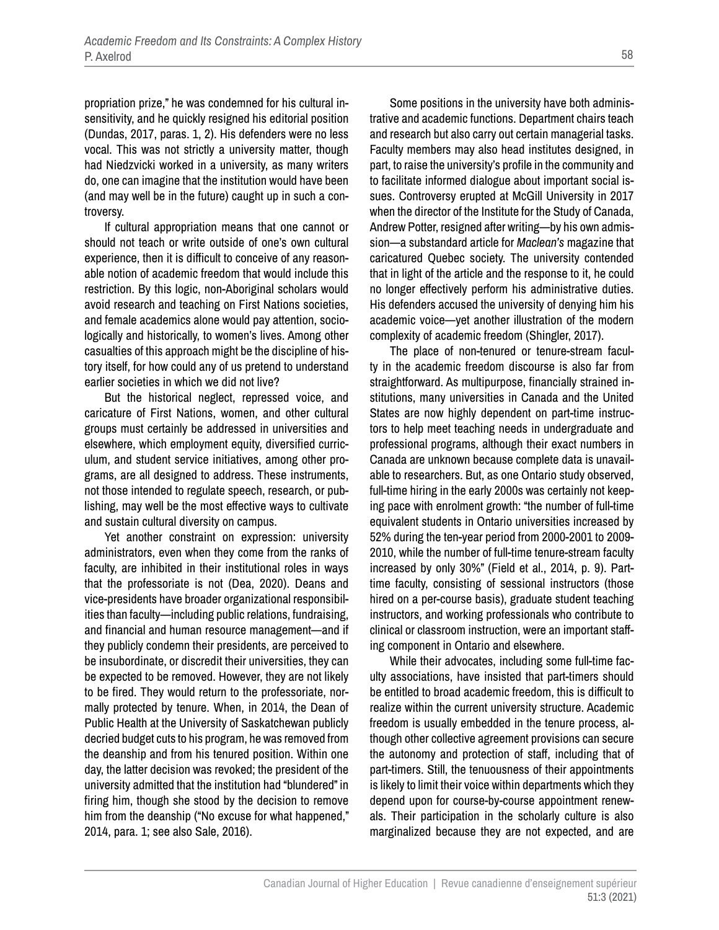propriation prize," he was condemned for his cultural insensitivity, and he quickly resigned his editorial position (Dundas, 2017, paras. 1, 2). His defenders were no less vocal. This was not strictly a university matter, though had Niedzvicki worked in a university, as many writers do, one can imagine that the institution would have been (and may well be in the future) caught up in such a controversy.

If cultural appropriation means that one cannot or should not teach or write outside of one's own cultural experience, then it is difficult to conceive of any reasonable notion of academic freedom that would include this restriction. By this logic, non-Aboriginal scholars would avoid research and teaching on First Nations societies, and female academics alone would pay attention, sociologically and historically, to women's lives. Among other casualties of this approach might be the discipline of history itself, for how could any of us pretend to understand earlier societies in which we did not live?

But the historical neglect, repressed voice, and caricature of First Nations, women, and other cultural groups must certainly be addressed in universities and elsewhere, which employment equity, diversified curriculum, and student service initiatives, among other programs, are all designed to address. These instruments, not those intended to regulate speech, research, or publishing, may well be the most effective ways to cultivate and sustain cultural diversity on campus.

Yet another constraint on expression: university administrators, even when they come from the ranks of faculty, are inhibited in their institutional roles in ways that the professoriate is not (Dea, 2020). Deans and vice-presidents have broader organizational responsibilities than faculty—including public relations, fundraising, and financial and human resource management—and if they publicly condemn their presidents, are perceived to be insubordinate, or discredit their universities, they can be expected to be removed. However, they are not likely to be fired. They would return to the professoriate, normally protected by tenure. When, in 2014, the Dean of Public Health at the University of Saskatchewan publicly decried budget cuts to his program, he was removed from the deanship and from his tenured position. Within one day, the latter decision was revoked; the president of the university admitted that the institution had "blundered" in firing him, though she stood by the decision to remove him from the deanship ("No excuse for what happened," 2014, para. 1; see also Sale, 2016).

Some positions in the university have both administrative and academic functions. Department chairs teach and research but also carry out certain managerial tasks. Faculty members may also head institutes designed, in part, to raise the university's profile in the community and to facilitate informed dialogue about important social issues. Controversy erupted at McGill University in 2017 when the director of the Institute for the Study of Canada, Andrew Potter, resigned after writing—by his own admission—a substandard article for *Maclean's* magazine that caricatured Quebec society. The university contended that in light of the article and the response to it, he could no longer effectively perform his administrative duties. His defenders accused the university of denying him his academic voice—yet another illustration of the modern complexity of academic freedom (Shingler, 2017).

The place of non-tenured or tenure-stream faculty in the academic freedom discourse is also far from straightforward. As multipurpose, financially strained institutions, many universities in Canada and the United States are now highly dependent on part-time instructors to help meet teaching needs in undergraduate and professional programs, although their exact numbers in Canada are unknown because complete data is unavailable to researchers. But, as one Ontario study observed, full-time hiring in the early 2000s was certainly not keeping pace with enrolment growth: "the number of full-time equivalent students in Ontario universities increased by 52% during the ten-year period from 2000-2001 to 2009- 2010, while the number of full-time tenure-stream faculty increased by only 30%" (Field et al., 2014, p. 9). Parttime faculty, consisting of sessional instructors (those hired on a per-course basis), graduate student teaching instructors, and working professionals who contribute to clinical or classroom instruction, were an important staffing component in Ontario and elsewhere.

While their advocates, including some full-time faculty associations, have insisted that part-timers should be entitled to broad academic freedom, this is difficult to realize within the current university structure. Academic freedom is usually embedded in the tenure process, although other collective agreement provisions can secure the autonomy and protection of staff, including that of part-timers. Still, the tenuousness of their appointments is likely to limit their voice within departments which they depend upon for course-by-course appointment renewals. Their participation in the scholarly culture is also marginalized because they are not expected, and are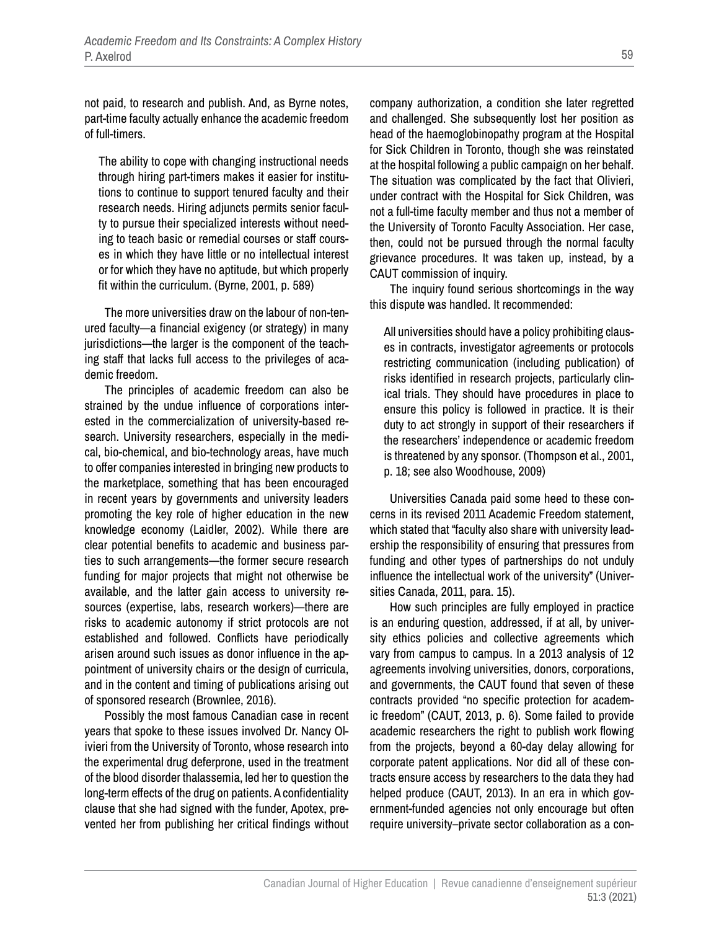not paid, to research and publish. And, as Byrne notes, part-time faculty actually enhance the academic freedom of full-timers.

The ability to cope with changing instructional needs through hiring part-timers makes it easier for institutions to continue to support tenured faculty and their research needs. Hiring adjuncts permits senior faculty to pursue their specialized interests without needing to teach basic or remedial courses or staff courses in which they have little or no intellectual interest or for which they have no aptitude, but which properly fit within the curriculum. (Byrne, 2001, p. 589)

The more universities draw on the labour of non-tenured faculty—a financial exigency (or strategy) in many jurisdictions—the larger is the component of the teaching staff that lacks full access to the privileges of academic freedom.

The principles of academic freedom can also be strained by the undue influence of corporations interested in the commercialization of university-based research. University researchers, especially in the medical, bio-chemical, and bio-technology areas, have much to offer companies interested in bringing new products to the marketplace, something that has been encouraged in recent years by governments and university leaders promoting the key role of higher education in the new knowledge economy (Laidler, 2002). While there are clear potential benefits to academic and business parties to such arrangements—the former secure research funding for major projects that might not otherwise be available, and the latter gain access to university resources (expertise, labs, research workers)—there are risks to academic autonomy if strict protocols are not established and followed. Conflicts have periodically arisen around such issues as donor influence in the appointment of university chairs or the design of curricula, and in the content and timing of publications arising out of sponsored research (Brownlee, 2016).

Possibly the most famous Canadian case in recent years that spoke to these issues involved Dr. Nancy Olivieri from the University of Toronto, whose research into the experimental drug deferprone, used in the treatment of the blood disorder thalassemia, led her to question the long-term effects of the drug on patients. A confidentiality clause that she had signed with the funder, Apotex, prevented her from publishing her critical findings without company authorization, a condition she later regretted and challenged. She subsequently lost her position as head of the haemoglobinopathy program at the Hospital for Sick Children in Toronto, though she was reinstated at the hospital following a public campaign on her behalf. The situation was complicated by the fact that Olivieri, under contract with the Hospital for Sick Children, was not a full-time faculty member and thus not a member of the University of Toronto Faculty Association. Her case, then, could not be pursued through the normal faculty grievance procedures. It was taken up, instead, by a CAUT commission of inquiry.

The inquiry found serious shortcomings in the way this dispute was handled. It recommended:

All universities should have a policy prohibiting clauses in contracts, investigator agreements or protocols restricting communication (including publication) of risks identified in research projects, particularly clinical trials. They should have procedures in place to ensure this policy is followed in practice. It is their duty to act strongly in support of their researchers if the researchers' independence or academic freedom is threatened by any sponsor. (Thompson et al., 2001, p. 18; see also Woodhouse, 2009)

Universities Canada paid some heed to these concerns in its revised 2011 Academic Freedom statement, which stated that "faculty also share with university leadership the responsibility of ensuring that pressures from funding and other types of partnerships do not unduly influence the intellectual work of the university" (Universities Canada, 2011, para. 15).

How such principles are fully employed in practice is an enduring question, addressed, if at all, by university ethics policies and collective agreements which vary from campus to campus. In a 2013 analysis of 12 agreements involving universities, donors, corporations, and governments, the CAUT found that seven of these contracts provided "no specific protection for academic freedom" (CAUT, 2013, p. 6). Some failed to provide academic researchers the right to publish work flowing from the projects, beyond a 60-day delay allowing for corporate patent applications. Nor did all of these contracts ensure access by researchers to the data they had helped produce (CAUT, 2013). In an era in which government-funded agencies not only encourage but often require university–private sector collaboration as a con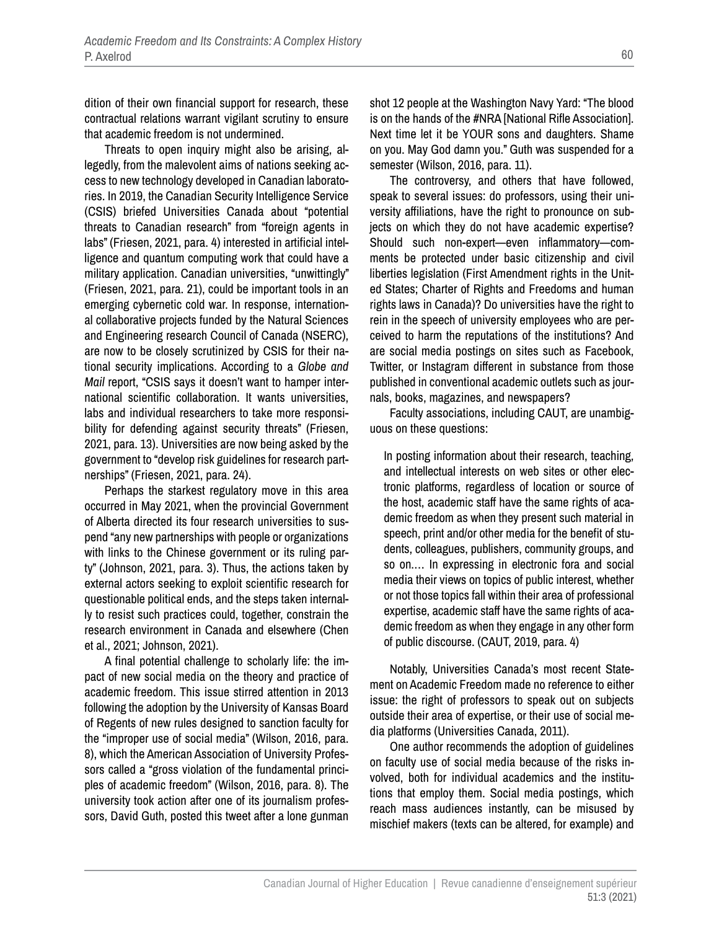dition of their own financial support for research, these contractual relations warrant vigilant scrutiny to ensure that academic freedom is not undermined.

Threats to open inquiry might also be arising, allegedly, from the malevolent aims of nations seeking access to new technology developed in Canadian laboratories. In 2019, the Canadian Security Intelligence Service (CSIS) briefed Universities Canada about "potential threats to Canadian research" from "foreign agents in labs" (Friesen, 2021, para. 4) interested in artificial intelligence and quantum computing work that could have a military application. Canadian universities, "unwittingly" (Friesen, 2021, para. 21), could be important tools in an emerging cybernetic cold war. In response, international collaborative projects funded by the Natural Sciences and Engineering research Council of Canada (NSERC), are now to be closely scrutinized by CSIS for their national security implications. According to a *Globe and Mail* report, "CSIS says it doesn't want to hamper international scientific collaboration. It wants universities, labs and individual researchers to take more responsibility for defending against security threats" (Friesen, 2021, para. 13). Universities are now being asked by the government to "develop risk guidelines for research partnerships" (Friesen, 2021, para. 24).

Perhaps the starkest regulatory move in this area occurred in May 2021, when the provincial Government of Alberta directed its four research universities to suspend "any new partnerships with people or organizations with links to the Chinese government or its ruling party" (Johnson, 2021, para. 3). Thus, the actions taken by external actors seeking to exploit scientific research for questionable political ends, and the steps taken internally to resist such practices could, together, constrain the research environment in Canada and elsewhere (Chen et al., 2021; Johnson, 2021).

A final potential challenge to scholarly life: the impact of new social media on the theory and practice of academic freedom. This issue stirred attention in 2013 following the adoption by the University of Kansas Board of Regents of new rules designed to sanction faculty for the "improper use of social media" (Wilson, 2016, para. 8), which the American Association of University Professors called a "gross violation of the fundamental principles of academic freedom" (Wilson, 2016, para. 8). The university took action after one of its journalism professors, David Guth, posted this tweet after a lone gunman

shot 12 people at the Washington Navy Yard: "The blood is on the hands of the #NRA [National Rifle Association]. Next time let it be YOUR sons and daughters. Shame on you. May God damn you." Guth was suspended for a semester (Wilson, 2016, para. 11).

The controversy, and others that have followed, speak to several issues: do professors, using their university affiliations, have the right to pronounce on subjects on which they do not have academic expertise? Should such non-expert—even inflammatory—comments be protected under basic citizenship and civil liberties legislation (First Amendment rights in the United States; Charter of Rights and Freedoms and human rights laws in Canada)? Do universities have the right to rein in the speech of university employees who are perceived to harm the reputations of the institutions? And are social media postings on sites such as Facebook, Twitter, or Instagram different in substance from those published in conventional academic outlets such as journals, books, magazines, and newspapers?

Faculty associations, including CAUT, are unambiguous on these questions:

In posting information about their research, teaching, and intellectual interests on web sites or other electronic platforms, regardless of location or source of the host, academic staff have the same rights of academic freedom as when they present such material in speech, print and/or other media for the benefit of students, colleagues, publishers, community groups, and so on.… In expressing in electronic fora and social media their views on topics of public interest, whether or not those topics fall within their area of professional expertise, academic staff have the same rights of academic freedom as when they engage in any other form of public discourse. (CAUT, 2019, para. 4)

Notably, Universities Canada's most recent Statement on Academic Freedom made no reference to either issue: the right of professors to speak out on subjects outside their area of expertise, or their use of social media platforms (Universities Canada, 2011).

One author recommends the adoption of guidelines on faculty use of social media because of the risks involved, both for individual academics and the institutions that employ them. Social media postings, which reach mass audiences instantly, can be misused by mischief makers (texts can be altered, for example) and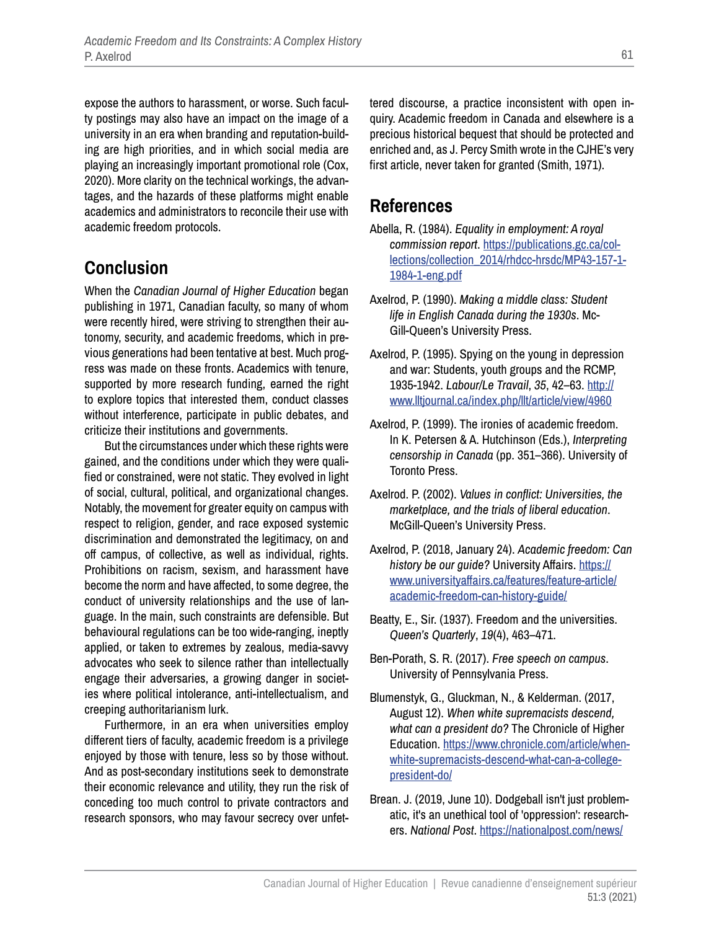expose the authors to harassment, or worse. Such faculty postings may also have an impact on the image of a university in an era when branding and reputation-building are high priorities, and in which social media are playing an increasingly important promotional role (Cox, 2020). More clarity on the technical workings, the advantages, and the hazards of these platforms might enable academics and administrators to reconcile their use with academic freedom protocols.

## **Conclusion**

When the *Canadian Journal of Higher Education* began publishing in 1971, Canadian faculty, so many of whom were recently hired, were striving to strengthen their autonomy, security, and academic freedoms, which in previous generations had been tentative at best. Much progress was made on these fronts. Academics with tenure, supported by more research funding, earned the right to explore topics that interested them, conduct classes without interference, participate in public debates, and criticize their institutions and governments.

But the circumstances under which these rights were gained, and the conditions under which they were qualified or constrained, were not static. They evolved in light of social, cultural, political, and organizational changes. Notably, the movement for greater equity on campus with respect to religion, gender, and race exposed systemic discrimination and demonstrated the legitimacy, on and off campus, of collective, as well as individual, rights. Prohibitions on racism, sexism, and harassment have become the norm and have affected, to some degree, the conduct of university relationships and the use of language. In the main, such constraints are defensible. But behavioural regulations can be too wide-ranging, ineptly applied, or taken to extremes by zealous, media-savvy advocates who seek to silence rather than intellectually engage their adversaries, a growing danger in societies where political intolerance, anti-intellectualism, and creeping authoritarianism lurk.

Furthermore, in an era when universities employ different tiers of faculty, academic freedom is a privilege enjoyed by those with tenure, less so by those without. And as post-secondary institutions seek to demonstrate their economic relevance and utility, they run the risk of conceding too much control to private contractors and research sponsors, who may favour secrecy over unfettered discourse, a practice inconsistent with open inquiry. Academic freedom in Canada and elsewhere is a precious historical bequest that should be protected and enriched and, as J. Percy Smith wrote in the CJHE's very first article, never taken for granted (Smith, 1971).

#### **References**

- Abella, R. (1984). *Equality in employment: A royal commission report*. [https://publications.gc.ca/col](https://publications.gc.ca/collections/collection_2014/rhdcc-hrsdc/MP43-157-1-1984-1-eng.pdf)[lections/collection\\_2014/rhdcc-hrsdc/MP43-157-1-](https://publications.gc.ca/collections/collection_2014/rhdcc-hrsdc/MP43-157-1-1984-1-eng.pdf) [1984-1-eng.pdf](https://publications.gc.ca/collections/collection_2014/rhdcc-hrsdc/MP43-157-1-1984-1-eng.pdf)
- Axelrod, P. (1990). *Making a middle class: Student life in English Canada during the 1930s*. Mc-Gill-Queen's University Press.
- Axelrod, P. (1995). Spying on the young in depression and war: Students, youth groups and the RCMP, 1935-1942. *Labour/Le Travail*, *35*, 42–63. [http://](http://www.lltjournal.ca/index.php/llt/article/view/4960) [www.lltjournal.ca/index.php/llt/article/view/4960](http://www.lltjournal.ca/index.php/llt/article/view/4960)
- Axelrod, P. (1999). The ironies of academic freedom. In K. Petersen & A. Hutchinson (Eds.), *Interpreting censorship in Canada* (pp. 351–366). University of Toronto Press.
- Axelrod. P. (2002). *Values in conflict: Universities, the marketplace, and the trials of liberal education*. McGill-Queen's University Press.
- Axelrod, P. (2018, January 24). *Academic freedom: Can history be our guide?* University Affairs. [https://](https://www.universityaffairs.ca/features/feature-article/academic-freedom-can-history-guide/) [www.universityaffairs.ca/features/feature-article/](https://www.universityaffairs.ca/features/feature-article/academic-freedom-can-history-guide/) [academic-freedom-can-history-guide/](https://www.universityaffairs.ca/features/feature-article/academic-freedom-can-history-guide/)
- Beatty, E., Sir. (1937). Freedom and the universities. *Queen's Quarterly*, *19*(4), 463–471.
- Ben-Porath, S. R. (2017). *Free speech on campus*. University of Pennsylvania Press.
- Blumenstyk, G., Gluckman, N., & Kelderman. (2017, August 12). *When white supremacists descend, what can a president do?* The Chronicle of Higher Education. [https://www.chronicle.com/article/when](https://www.chronicle.com/article/when-white-supremacists-descend-what-can-a-college-president-do/)[white-supremacists-descend-what-can-a-college](https://www.chronicle.com/article/when-white-supremacists-descend-what-can-a-college-president-do/)[president-do/](https://www.chronicle.com/article/when-white-supremacists-descend-what-can-a-college-president-do/)
- Brean. J. (2019, June 10). Dodgeball isn't just problematic, it's an unethical tool of 'oppression': researchers. *National Post*. [https://nationalpost.com/news/](https://nationalpost.com/news/dodgeball-isnt-just-problematic-its-an-unethical-tool-of-oppression-researchers)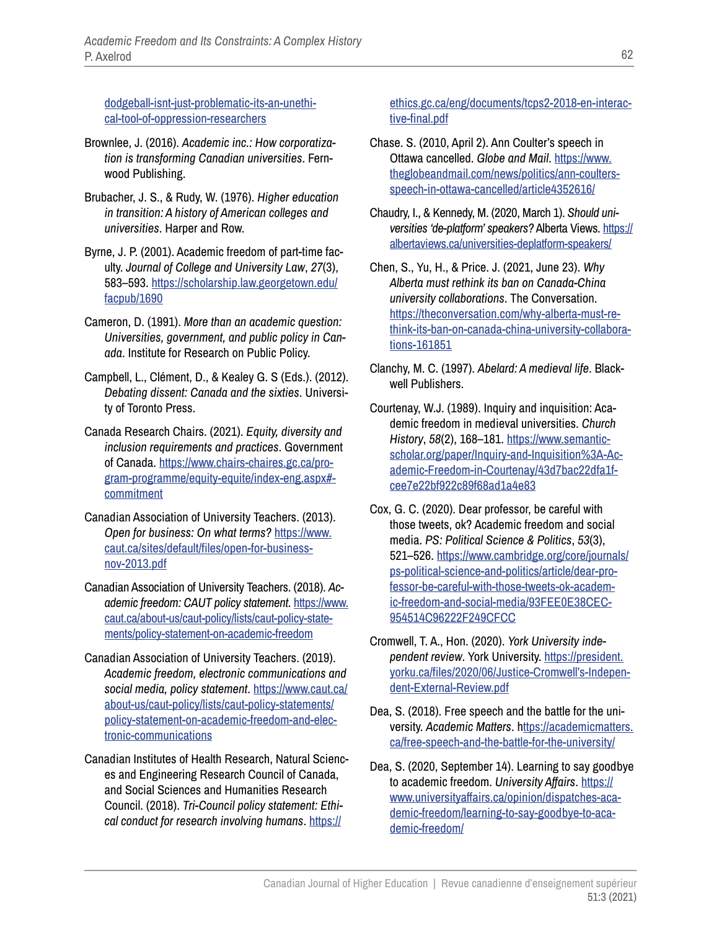[dodgeball-isnt-just-problematic-its-an-unethi](https://nationalpost.com/news/dodgeball-isnt-just-problematic-its-an-unethical-tool-of-oppression-researchers)[cal-tool-of-oppression-researchers](https://nationalpost.com/news/dodgeball-isnt-just-problematic-its-an-unethical-tool-of-oppression-researchers)

- Brownlee, J. (2016). *Academic inc.: How corporatization is transforming Canadian universities*. Fernwood Publishing.
- Brubacher, J. S., & Rudy, W. (1976). *Higher education in transition: A history of American colleges and universities*. Harper and Row.
- Byrne, J. P. (2001). Academic freedom of part-time faculty. *Journal of College and University Law*, *27*(3), 583–593. [https://scholarship.law.georgetown.edu/](https://scholarship.law.georgetown.edu/facpub/1690) [facpub/1690](https://scholarship.law.georgetown.edu/facpub/1690)
- Cameron, D. (1991). *More than an academic question: Universities, government, and public policy in Canada*. Institute for Research on Public Policy.
- Campbell, L., Clément, D., & Kealey G. S (Eds.). (2012). *Debating dissent: Canada and the sixties*. University of Toronto Press.
- Canada Research Chairs. (2021). *Equity, diversity and inclusion requirements and practices*. Government of Canada. [https://www.chairs-chaires.gc.ca/pro](https://www.chairs-chaires.gc.ca/program-programme/equity-equite/index-eng.aspx#commitment)[gram-programme/equity-equite/index-eng.aspx#](https://www.chairs-chaires.gc.ca/program-programme/equity-equite/index-eng.aspx#commitment) [commitment](https://www.chairs-chaires.gc.ca/program-programme/equity-equite/index-eng.aspx#commitment)
- Canadian Association of University Teachers. (2013). *Open for business: On what terms?* [https://www.](https://www.caut.ca/sites/default/files/open-for-business-nov-2013.pdf) [caut.ca/sites/default/files/open-for-business](https://www.caut.ca/sites/default/files/open-for-business-nov-2013.pdf)[nov-2013.pdf](https://www.caut.ca/sites/default/files/open-for-business-nov-2013.pdf)
- Canadian Association of University Teachers. (2018). *Academic freedom: CAUT policy statement.* [https://www.](https://www.caut.ca/about-us/caut-policy/lists/caut-policy-statements/policy-statement-on-academic-freedom) [caut.ca/about-us/caut-policy/lists/caut-policy-state](https://www.caut.ca/about-us/caut-policy/lists/caut-policy-statements/policy-statement-on-academic-freedom)[ments/policy-statement-on-academic-freedom](https://www.caut.ca/about-us/caut-policy/lists/caut-policy-statements/policy-statement-on-academic-freedom)
- Canadian Association of University Teachers. (2019). *Academic freedom, electronic communications and social media, policy statement*. [https://www.caut.ca/](https://www.caut.ca/about-us/caut-policy/lists/caut-policy-statements/policy-statement-on-academic-freedom-and-electronic-communications) [about-us/caut-policy/lists/caut-policy-statements/](https://www.caut.ca/about-us/caut-policy/lists/caut-policy-statements/policy-statement-on-academic-freedom-and-electronic-communications) [policy-statement-on-academic-freedom-and-elec](https://www.caut.ca/about-us/caut-policy/lists/caut-policy-statements/policy-statement-on-academic-freedom-and-electronic-communications)[tronic-communications](https://www.caut.ca/about-us/caut-policy/lists/caut-policy-statements/policy-statement-on-academic-freedom-and-electronic-communications)
- Canadian Institutes of Health Research, Natural Sciences and Engineering Research Council of Canada, and Social Sciences and Humanities Research Council. (2018). *Tri-Council policy statement: Ethical conduct for research involving humans*. [https://](https://ethics.gc.ca/eng/documents/tcps2-2018-en-interactive-final.pdf)

#### [ethics.gc.ca/eng/documents/tcps2-2018-en-interac](https://ethics.gc.ca/eng/documents/tcps2-2018-en-interactive-final.pdf)[tive-final.pdf](https://ethics.gc.ca/eng/documents/tcps2-2018-en-interactive-final.pdf)

- Chase. S. (2010, April 2). Ann Coulter's speech in Ottawa cancelled. *Globe and Mail*. [https://www.](https://www.theglobeandmail.com/news/politics/ann-coulters-speech-in-ottawa-cancelled/article4352616/) [theglobeandmail.com/news/politics/ann-coulters](https://www.theglobeandmail.com/news/politics/ann-coulters-speech-in-ottawa-cancelled/article4352616/)[speech-in-ottawa-cancelled/article4352616/](https://www.theglobeandmail.com/news/politics/ann-coulters-speech-in-ottawa-cancelled/article4352616/)
- Chaudry, I., & Kennedy, M. (2020, March 1). *Should universities 'de-platform' speakers?* Alberta Views. [https://](https://albertaviews.ca/universities-deplatform-speakers/) [albertaviews.ca/universities-deplatform-speakers/](https://albertaviews.ca/universities-deplatform-speakers/)
- Chen, S., Yu, H., & Price. J. (2021, June 23). *Why Alberta must rethink its ban on Canada-China university collaborations*. The Conversation. [https://theconversation.com/why-alberta-must-re](https://theconversation.com/why-alberta-must-rethink-its-ban-on-canada-china-university-collaborations-161851)[think-its-ban-on-canada-china-university-collabora](https://theconversation.com/why-alberta-must-rethink-its-ban-on-canada-china-university-collaborations-161851)[tions-161851](https://theconversation.com/why-alberta-must-rethink-its-ban-on-canada-china-university-collaborations-161851)
- Clanchy, M. C. (1997). *Abelard: A medieval life*. Blackwell Publishers.
- Courtenay, W.J. (1989). Inquiry and inquisition: Academic freedom in medieval universities. *Church History*, *58*(2), 168–181. [https://www.semantic](https://www.semanticscholar.org/paper/Inquiry-and-Inquisition%3A-Academic-Freedom-in-Courtenay/43d7bac22dfa1fcee7e22bf922c89f68ad1a4e83)[scholar.org/paper/Inquiry-and-Inquisition%3A-Ac](https://www.semanticscholar.org/paper/Inquiry-and-Inquisition%3A-Academic-Freedom-in-Courtenay/43d7bac22dfa1fcee7e22bf922c89f68ad1a4e83)[ademic-Freedom-in-Courtenay/43d7bac22dfa1f](https://www.semanticscholar.org/paper/Inquiry-and-Inquisition%3A-Academic-Freedom-in-Courtenay/43d7bac22dfa1fcee7e22bf922c89f68ad1a4e83)[cee7e22bf922c89f68ad1a4e83](https://www.semanticscholar.org/paper/Inquiry-and-Inquisition%3A-Academic-Freedom-in-Courtenay/43d7bac22dfa1fcee7e22bf922c89f68ad1a4e83)
- Cox, G. C. (2020). Dear professor, be careful with those tweets, ok? Academic freedom and social media. *PS: Political Science & Politics*, *53*(3), 521–526. [https://www.cambridge.org/core/journals/](https://www.cambridge.org/core/journals/ps-political-science-and-politics/article/dear-professor-be-careful-with-those-tweets-ok-academic-freedom-and-social-media/93FEE0E38CEC954514C96222F249CFCC) [ps-political-science-and-politics/article/dear-pro](https://www.cambridge.org/core/journals/ps-political-science-and-politics/article/dear-professor-be-careful-with-those-tweets-ok-academic-freedom-and-social-media/93FEE0E38CEC954514C96222F249CFCC)[fessor-be-careful-with-those-tweets-ok-academ](https://www.cambridge.org/core/journals/ps-political-science-and-politics/article/dear-professor-be-careful-with-those-tweets-ok-academic-freedom-and-social-media/93FEE0E38CEC954514C96222F249CFCC)[ic-freedom-and-social-media/93FEE0E38CEC](https://www.cambridge.org/core/journals/ps-political-science-and-politics/article/dear-professor-be-careful-with-those-tweets-ok-academic-freedom-and-social-media/93FEE0E38CEC954514C96222F249CFCC)-[954514C96222F249CFCC](https://www.cambridge.org/core/journals/ps-political-science-and-politics/article/dear-professor-be-careful-with-those-tweets-ok-academic-freedom-and-social-media/93FEE0E38CEC954514C96222F249CFCC)
- Cromwell, T. A., Hon. (2020). *York University independent review*. York University. [https://president.](https://president.yorku.ca/files/2020/06/Justice-Cromwell’s-Independent-External-Review.pdf) [yorku.ca/files/2020/06/Justice-Cromwell's-Indepen](https://president.yorku.ca/files/2020/06/Justice-Cromwell’s-Independent-External-Review.pdf)[dent-External-Review.pdf](https://president.yorku.ca/files/2020/06/Justice-Cromwell’s-Independent-External-Review.pdf)
- Dea, S. (2018). Free speech and the battle for the university. *Academic Matters*. h[ttps://academicmatters.](ttps://academicmatters.ca/free-speech-and-the-battle-for-the-university/) [ca/free-speech-and-the-battle-for-the-university/](ttps://academicmatters.ca/free-speech-and-the-battle-for-the-university/)
- Dea, S. (2020, September 14). Learning to say goodbye to academic freedom. *University Affairs*. [https://](https://www.universityaffairs.ca/opinion/dispatches-academic-freedom/learning-to-say-goodbye-to-academic-freedom/) [www.universityaffairs.ca/opinion/dispatches-aca](https://www.universityaffairs.ca/opinion/dispatches-academic-freedom/learning-to-say-goodbye-to-academic-freedom/)[demic-freedom/learning-to-say-goodbye-to-aca](https://www.universityaffairs.ca/opinion/dispatches-academic-freedom/learning-to-say-goodbye-to-academic-freedom/)[demic-freedom/](https://www.universityaffairs.ca/opinion/dispatches-academic-freedom/learning-to-say-goodbye-to-academic-freedom/)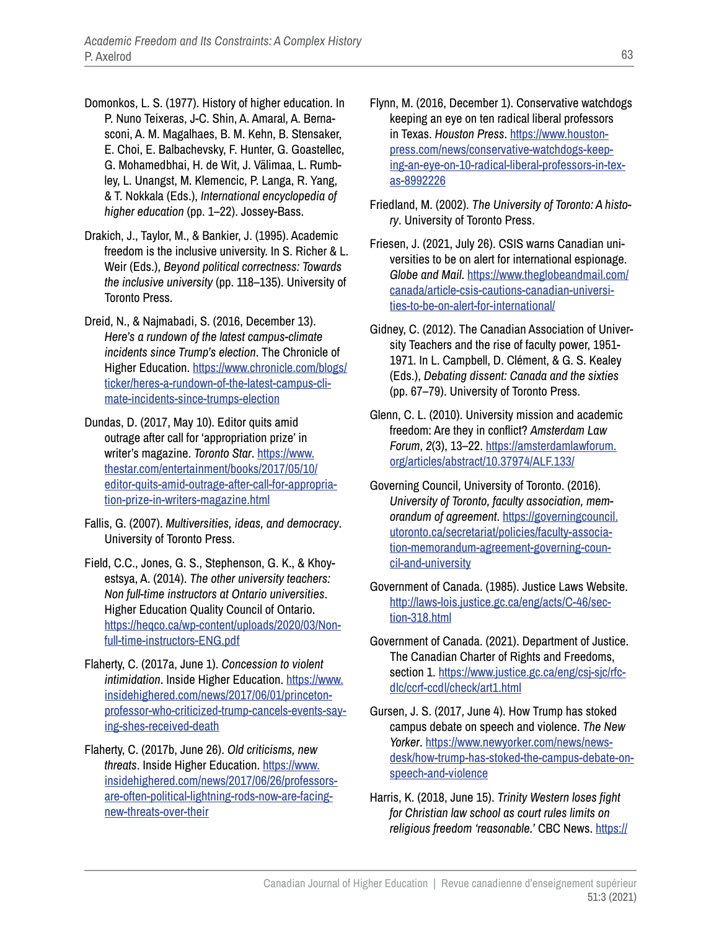- Domonkos, L. S. (1977). History of higher education. In P. Nuno Teixeras, J-C. Shin, A. Amaral, A. Bernasconi, A. M. Magalhaes, B. M. Kehn, B. Stensaker, E. Choi, E. Balbachevsky, F. Hunter, G. Goastellec, G. Mohamedbhai, H. de Wit, J. Välimaa, L. Rumbley, L. Unangst, M. Klemencic, P. Langa, R. Yang, & T. Nokkala (Eds.), *International encyclopedia of higher education* (pp. 1–22). Jossey-Bass.
- Drakich, J., Taylor, M., & Bankier, J. (1995). Academic freedom is the inclusive university. In S. Richer & L. Weir (Eds.), *Beyond political correctness: Towards the inclusive university* (pp. 118–135). University of Toronto Press.
- Dreid, N., & Najmabadi, S. (2016, December 13). *Here's a rundown of the latest campus-climate incidents since Trump's election*. The Chronicle of Higher Education. [https://www.chronicle.com/blogs/](https://www.chronicle.com/blogs/ticker/heres-a-rundown-of-the-latest-campus-climate-incidents-since-trumps-election) [ticker/heres-a-rundown-of-the-latest-campus-cli](https://www.chronicle.com/blogs/ticker/heres-a-rundown-of-the-latest-campus-climate-incidents-since-trumps-election)[mate-incidents-since-trumps-election](https://www.chronicle.com/blogs/ticker/heres-a-rundown-of-the-latest-campus-climate-incidents-since-trumps-election)
- Dundas, D. (2017, May 10). Editor quits amid outrage after call for 'appropriation prize' in writer's magazine. *Toronto Star*. [https://www.](https://www.thestar.com/entertainment/books/2017/05/10/editor-quits-amid-outrage-after-call-for-appropriation-prize-in-writers-magazine.html) [thestar.com/entertainment/books/2017/05/10/](https://www.thestar.com/entertainment/books/2017/05/10/editor-quits-amid-outrage-after-call-for-appropriation-prize-in-writers-magazine.html) [editor-quits-amid-outrage-after-call-for-appropria](https://www.thestar.com/entertainment/books/2017/05/10/editor-quits-amid-outrage-after-call-for-appropriation-prize-in-writers-magazine.html)[tion-prize-in-writers-magazine.html](https://www.thestar.com/entertainment/books/2017/05/10/editor-quits-amid-outrage-after-call-for-appropriation-prize-in-writers-magazine.html)
- Fallis, G. (2007). *Multiversities, ideas, and democracy*. University of Toronto Press.
- Field, C.C., Jones, G. S., Stephenson, G. K., & Khoyestsya, A. (2014). *The other university teachers: Non full-time instructors at Ontario universities*. Higher Education Quality Council of Ontario. [https://heqco.ca/wp-content/uploads/2020/03/Non](https://heqco.ca/wp-content/uploads/2020/03/Non-full-time-instructors-ENG.pdf)[full-time-instructors-ENG.pdf](https://heqco.ca/wp-content/uploads/2020/03/Non-full-time-instructors-ENG.pdf)
- Flaherty, C. (2017a, June 1). *Concession to violent intimidation*. Inside Higher Education. [https://www.](https://www.insidehighered.com/news/2017/06/01/princeton-professor-who-criticized-trump-cancels-events-saying-shes-received-death) [insidehighered.com/news/2017/06/01/princeton](https://www.insidehighered.com/news/2017/06/01/princeton-professor-who-criticized-trump-cancels-events-saying-shes-received-death)[professor-who-criticized-trump-cancels-events-say](https://www.insidehighered.com/news/2017/06/01/princeton-professor-who-criticized-trump-cancels-events-saying-shes-received-death)[ing-shes-received-death](https://www.insidehighered.com/news/2017/06/01/princeton-professor-who-criticized-trump-cancels-events-saying-shes-received-death)
- Flaherty, C. (2017b, June 26). *Old criticisms, new threats*. Inside Higher Education. [https://www.](https://www.insidehighered.com/news/2017/06/26/professors-are-often-political-lightning-rods-now-are-facing-new-threats-over-their) [insidehighered.com/news/2017/06/26/professors](https://www.insidehighered.com/news/2017/06/26/professors-are-often-political-lightning-rods-now-are-facing-new-threats-over-their)[are-often-political-lightning-rods-now-are-facing](https://www.insidehighered.com/news/2017/06/26/professors-are-often-political-lightning-rods-now-are-facing-new-threats-over-their)[new-threats-over-their](https://www.insidehighered.com/news/2017/06/26/professors-are-often-political-lightning-rods-now-are-facing-new-threats-over-their)
- Flynn, M. (2016, December 1). Conservative watchdogs keeping an eye on ten radical liberal professors in Texas. *Houston Press*. [https://www.houston](https://www.houstonpress.com/news/conservative-watchdogs-keeping-an-eye-on-10-radical-liberal-professors-in-texas-8992226)[press.com/news/conservative-watchdogs-keep](https://www.houstonpress.com/news/conservative-watchdogs-keeping-an-eye-on-10-radical-liberal-professors-in-texas-8992226)[ing-an-eye-on-10-radical-liberal-professors-in-tex](https://www.houstonpress.com/news/conservative-watchdogs-keeping-an-eye-on-10-radical-liberal-professors-in-texas-8992226)[as-8992226](https://www.houstonpress.com/news/conservative-watchdogs-keeping-an-eye-on-10-radical-liberal-professors-in-texas-8992226)
- Friedland, M. (2002). *The University of Toronto: A history*. University of Toronto Press.
- Friesen, J. (2021, July 26). CSIS warns Canadian universities to be on alert for international espionage. *Globe and Mail*. [https://www.theglobeandmail.com/](https://www.theglobeandmail.com/canada/article-csis-cautions-canadian-universities-to-be-on-alert-for-international/) [canada/article-csis-cautions-canadian-universi](https://www.theglobeandmail.com/canada/article-csis-cautions-canadian-universities-to-be-on-alert-for-international/)[ties-to-be-on-alert-for-international/](https://www.theglobeandmail.com/canada/article-csis-cautions-canadian-universities-to-be-on-alert-for-international/)
- Gidney, C. (2012). The Canadian Association of University Teachers and the rise of faculty power, 1951- 1971. In L. Campbell, D. Clément, & G. S. Kealey (Eds.), *Debating dissent: Canada and the sixties* (pp. 67–79). University of Toronto Press.
- Glenn, C. L. (2010). University mission and academic freedom: Are they in conflict? *Amsterdam Law Forum*, *2*(3), 13–22. [https://amsterdamlawforum.](https://amsterdamlawforum.org/articles/abstract/10.37974/ALF.133/) [org/articles/abstract/10.37974/ALF.133/](https://amsterdamlawforum.org/articles/abstract/10.37974/ALF.133/)
- Governing Council, University of Toronto. (2016). *University of Toronto, faculty association, memorandum of agreement*. [https://governingcouncil.](https://governingcouncil.utoronto.ca/secretariat/policies/faculty-association-memorandum-agreement-governing-council-and-university) [utoronto.ca/secretariat/policies/faculty-associa](https://governingcouncil.utoronto.ca/secretariat/policies/faculty-association-memorandum-agreement-governing-council-and-university)[tion-memorandum-agreement-governing-coun](https://governingcouncil.utoronto.ca/secretariat/policies/faculty-association-memorandum-agreement-governing-council-and-university)[cil-and-university](https://governingcouncil.utoronto.ca/secretariat/policies/faculty-association-memorandum-agreement-governing-council-and-university)
- Government of Canada. (1985). Justice Laws Website. [http://laws-lois.justice.gc.ca/eng/acts/C-46/sec](http://laws-lois.justice.gc.ca/eng/acts/C-46/section-318.html)[tion-318.html](http://laws-lois.justice.gc.ca/eng/acts/C-46/section-318.html)
- Government of Canada. (2021). Department of Justice. The Canadian Charter of Rights and Freedoms, section 1. [https://www.justice.gc.ca/eng/csj-sjc/rfc](https://www.justice.gc.ca/eng/csj-sjc/rfc-dlc/ccrf-ccdl/check/art1.html)[dlc/ccrf-ccdl/check/art1.html](https://www.justice.gc.ca/eng/csj-sjc/rfc-dlc/ccrf-ccdl/check/art1.html)
- Gursen, J. S. (2017, June 4). How Trump has stoked campus debate on speech and violence. *The New Yorker*. [https://www.newyorker.com/news/news](https://www.newyorker.com/news/news-desk/how-trump-has-stoked-the-campus-debate-on-speech-and-violence)[desk/how-trump-has-stoked-the-campus-debate-on](https://www.newyorker.com/news/news-desk/how-trump-has-stoked-the-campus-debate-on-speech-and-violence)[speech-and-violence](https://www.newyorker.com/news/news-desk/how-trump-has-stoked-the-campus-debate-on-speech-and-violence)
- Harris, K. (2018, June 15). *Trinity Western loses fight for Christian law school as court rules limits on religious freedom 'reasonable.'* CBC News. [https://](https://www.cbc.ca/news/politics/trinity-western-supreme-court-decision-1.4707240)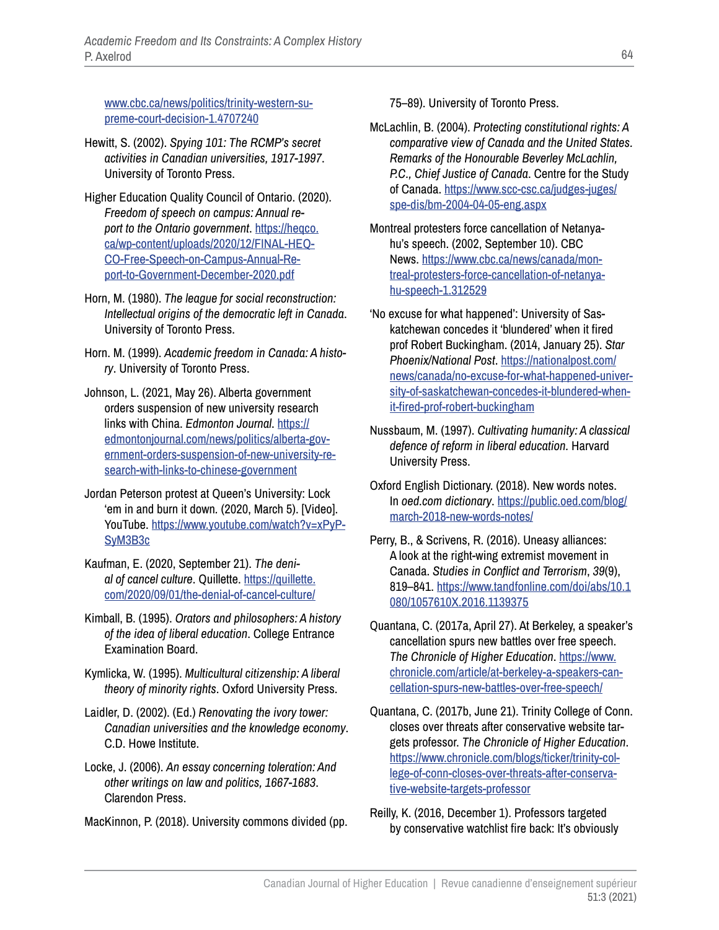[www.cbc.ca/news/politics/trinity-western-su](https://www.cbc.ca/news/politics/trinity-western-supreme-court-decision-1.4707240)[preme-court-decision-1.4707240](https://www.cbc.ca/news/politics/trinity-western-supreme-court-decision-1.4707240)

- Hewitt, S. (2002). *Spying 101: The RCMP's secret activities in Canadian universities, 1917-1997*. University of Toronto Press.
- Higher Education Quality Council of Ontario. (2020). *Freedom of speech on campus: Annual report to the Ontario government*. [https://heqco.](https://heqco.ca/wp-content/uploads/2020/12/FINAL-HEQCO-Free-Speech-on-Campus-Annual-Report-to-Government-December-2020.pdf) [ca/wp-content/uploads/2020/12/FINAL-HEQ](https://heqco.ca/wp-content/uploads/2020/12/FINAL-HEQCO-Free-Speech-on-Campus-Annual-Report-to-Government-December-2020.pdf)-[CO-Free-Speech-on-Campus-Annual-Re](https://heqco.ca/wp-content/uploads/2020/12/FINAL-HEQCO-Free-Speech-on-Campus-Annual-Report-to-Government-December-2020.pdf)[port-to-Government-December-2020.pdf](https://heqco.ca/wp-content/uploads/2020/12/FINAL-HEQCO-Free-Speech-on-Campus-Annual-Report-to-Government-December-2020.pdf)
- Horn, M. (1980). *The league for social reconstruction: Intellectual origins of the democratic left in Canada*. University of Toronto Press.
- Horn. M. (1999). *Academic freedom in Canada: A history*. University of Toronto Press.
- Johnson, L. (2021, May 26). Alberta government orders suspension of new university research links with China. *Edmonton Journal*. [https://](https://edmontonjournal.com/news/politics/alberta-government-orders-suspension-of-new-university-research-with-links-to-chinese-government) [edmontonjournal.com/news/politics/alberta-gov](https://edmontonjournal.com/news/politics/alberta-government-orders-suspension-of-new-university-research-with-links-to-chinese-government)[ernment-orders-suspension-of-new-university-re](https://edmontonjournal.com/news/politics/alberta-government-orders-suspension-of-new-university-research-with-links-to-chinese-government)[search-with-links-to-chinese-government](https://edmontonjournal.com/news/politics/alberta-government-orders-suspension-of-new-university-research-with-links-to-chinese-government)
- Jordan Peterson protest at Queen's University: Lock 'em in and burn it down*.* (2020, March 5). [Video]. YouTube. [https://www.youtube.com/watch?v=xPyP](https://www.youtube.com/watch?v=xPyPSyM3B3c)-[SyM3B3c](https://www.youtube.com/watch?v=xPyPSyM3B3c)
- Kaufman, E. (2020, September 21). *The denial of cancel culture*. Quillette. [https://quillette.](https://quillette.com/2020/09/01/the-denial-of-cancel-culture/) [com/2020/09/01/the-denial-of-cancel-culture/](https://quillette.com/2020/09/01/the-denial-of-cancel-culture/)
- Kimball, B. (1995). *Orators and philosophers: A history of the idea of liberal education*. College Entrance Examination Board.
- Kymlicka, W. (1995). *Multicultural citizenship: A liberal theory of minority rights*. Oxford University Press.
- Laidler, D. (2002). (Ed.) *Renovating the ivory tower: Canadian universities and the knowledge economy*. C.D. Howe Institute.
- Locke, J. (2006). *An essay concerning toleration: And other writings on law and politics, 1667-1683*. Clarendon Press.
- MacKinnon, P. (2018). University commons divided (pp.

75–89). University of Toronto Press.

- McLachlin, B. (2004). *Protecting constitutional rights: A comparative view of Canada and the United States. Remarks of the Honourable Beverley McLachlin, P.C., Chief Justice of Canada*. Centre for the Study of Canada. [https://www.scc-csc.ca/judges-juges/](https://www.scc-csc.ca/judges-juges/spe-dis/bm-2004-04-05-eng.aspx) [spe-dis/bm-2004-04-05-eng.aspx](https://www.scc-csc.ca/judges-juges/spe-dis/bm-2004-04-05-eng.aspx)
- Montreal protesters force cancellation of Netanyahu's speech. (2002, September 10). CBC News. [https://www.cbc.ca/news/canada/mon](https://www.cbc.ca/news/canada/montreal-protesters-force-cancellation-of-netanyahu-speech-1.312529)[treal-protesters-force-cancellation-of-netanya](https://www.cbc.ca/news/canada/montreal-protesters-force-cancellation-of-netanyahu-speech-1.312529)[hu-speech-1.312529](https://www.cbc.ca/news/canada/montreal-protesters-force-cancellation-of-netanyahu-speech-1.312529)
- 'No excuse for what happened': University of Saskatchewan concedes it 'blundered' when it fired prof Robert Buckingham. (2014, January 25). *Star Phoenix/National Post*. [https://nationalpost.com/](https://nationalpost.com/news/canada/no-excuse-for-what-happened-university-of-saskatchewan-concedes-it-blundered-when-it-fired-prof-robert-buckingham) [news/canada/no-excuse-for-what-happened-univer](https://nationalpost.com/news/canada/no-excuse-for-what-happened-university-of-saskatchewan-concedes-it-blundered-when-it-fired-prof-robert-buckingham)[sity-of-saskatchewan-concedes-it-blundered-when](https://nationalpost.com/news/canada/no-excuse-for-what-happened-university-of-saskatchewan-concedes-it-blundered-when-it-fired-prof-robert-buckingham)[it-fired-prof-robert-buckingham](https://nationalpost.com/news/canada/no-excuse-for-what-happened-university-of-saskatchewan-concedes-it-blundered-when-it-fired-prof-robert-buckingham)
- Nussbaum, M. (1997). *Cultivating humanity: A classical defence of reform in liberal education.* Harvard University Press.
- Oxford English Dictionary. (2018). New words notes. In *oed.com dictionary*. [https://public.oed.com/blog/](https://public.oed.com/blog/march-2018-new-words-notes/) [march-2018-new-words-notes/](https://public.oed.com/blog/march-2018-new-words-notes/)
- Perry, B., & Scrivens, R. (2016). Uneasy alliances: A look at the right-wing extremist movement in Canada. *Studies in Conflict and Terrorism*, *39*(9), 819–841. [https://www.tandfonline.com/doi/abs/10.1](https://www.tandfonline.com/doi/abs/10.1080/1057610X.2016.1139375) [080/1057610X.2016.1139375](https://www.tandfonline.com/doi/abs/10.1080/1057610X.2016.1139375)
- Quantana, C. (2017a, April 27). At Berkeley, a speaker's cancellation spurs new battles over free speech. *The Chronicle of Higher Education*. [https://www.](https://www.chronicle.com/article/at-berkeley-a-speakers-cancellation-spurs-new-battles-over-free-speech/) [chronicle.com/article/at-berkeley-a-speakers-can](https://www.chronicle.com/article/at-berkeley-a-speakers-cancellation-spurs-new-battles-over-free-speech/)[cellation-spurs-new-battles-over-free-speech/](https://www.chronicle.com/article/at-berkeley-a-speakers-cancellation-spurs-new-battles-over-free-speech/)
- Quantana, C. (2017b, June 21). Trinity College of Conn. closes over threats after conservative website targets professor. *The Chronicle of Higher Education*. [https://www.chronicle.com/blogs/ticker/trinity-col](https://www.chronicle.com/blogs/ticker/trinity-college-of-conn-closes-over-threats-after-conservative-website-targets-professor)[lege-of-conn-closes-over-threats-after-conserva](https://www.chronicle.com/blogs/ticker/trinity-college-of-conn-closes-over-threats-after-conservative-website-targets-professor)[tive-website-targets-professor](https://www.chronicle.com/blogs/ticker/trinity-college-of-conn-closes-over-threats-after-conservative-website-targets-professor)
- Reilly, K. (2016, December 1). Professors targeted by conservative watchlist fire back: It's obviously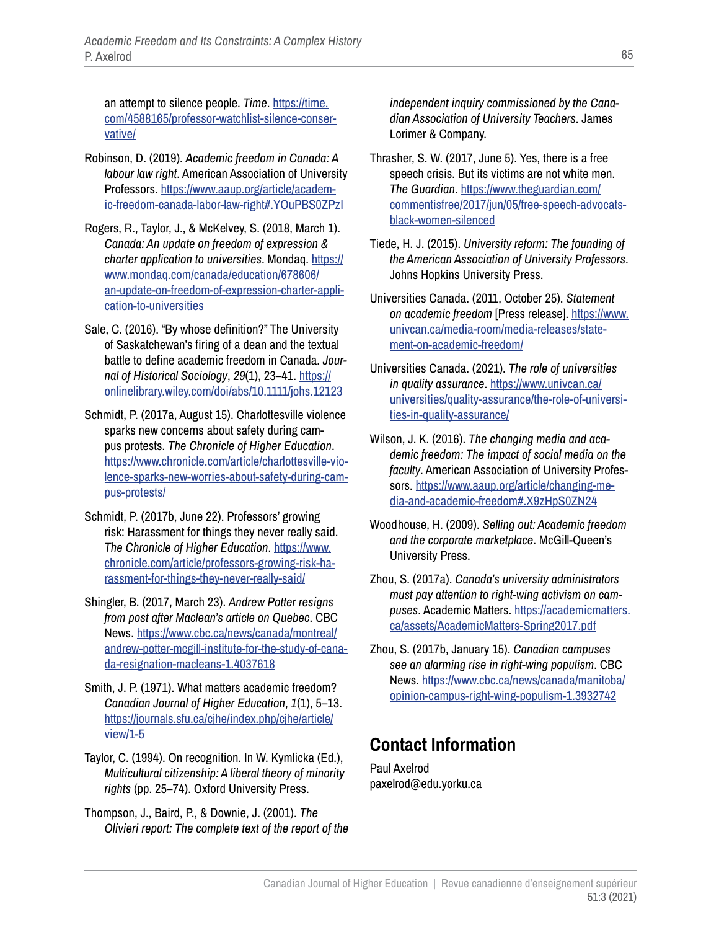an attempt to silence people. *Time*. [https://time.](https://time.com/4588165/professor-watchlist-silence-conservative/) [com/4588165/professor-watchlist-silence-conser](https://time.com/4588165/professor-watchlist-silence-conservative/)[vative/](https://time.com/4588165/professor-watchlist-silence-conservative/)

- Robinson, D. (2019). *Academic freedom in Canada: A labour law right*. American Association of University Professors. [https://www.aaup.org/article/academ](https://www.aaup.org/article/academic-freedom-canada-labor-law-right#.YOuPBS0ZPzI)[ic-freedom-canada-labor-law-right#.YOuPBS0ZPzI](https://www.aaup.org/article/academic-freedom-canada-labor-law-right#.YOuPBS0ZPzI)
- Rogers, R., Taylor, J., & McKelvey, S. (2018, March 1). *Canada: An update on freedom of expression & charter application to universities*. Mondaq. [https://](https://www.mondaq.com/canada/education/678606/an-update-on-freedom-of-expression-charter-application-to-universities) [www.mondaq.com/canada/education/678606/](https://www.mondaq.com/canada/education/678606/an-update-on-freedom-of-expression-charter-application-to-universities) [an-update-on-freedom-of-expression-charter-appli](https://www.mondaq.com/canada/education/678606/an-update-on-freedom-of-expression-charter-application-to-universities)[cation-to-universities](https://www.mondaq.com/canada/education/678606/an-update-on-freedom-of-expression-charter-application-to-universities)
- Sale, C. (2016). "By whose definition?" The University of Saskatchewan's firing of a dean and the textual battle to define academic freedom in Canada. *Journal of Historical Sociology*, *29*(1), 23–41. [https://](https://onlinelibrary.wiley.com/doi/abs/10.1111/johs.12123) [onlinelibrary.wiley.com/doi/abs/10.1111/johs.12123](https://onlinelibrary.wiley.com/doi/abs/10.1111/johs.12123)
- Schmidt, P. (2017a, August 15). Charlottesville violence sparks new concerns about safety during campus protests. *The Chronicle of Higher Education*. [https://www.chronicle.com/article/charlottesville-vio](https://www.chronicle.com/article/charlottesville-violence-sparks-new-worries-about-safety-during-campus-protests/)[lence-sparks-new-worries-about-safety-during-cam](https://www.chronicle.com/article/charlottesville-violence-sparks-new-worries-about-safety-during-campus-protests/)[pus-protests/](https://www.chronicle.com/article/charlottesville-violence-sparks-new-worries-about-safety-during-campus-protests/)
- Schmidt, P. (2017b, June 22). Professors' growing risk: Harassment for things they never really said. *The Chronicle of Higher Education*. [https://www.](https://www.chronicle.com/article/professors-growing-risk-harassment-for-things-they-never-really-said/) [chronicle.com/article/professors-growing-risk-ha](https://www.chronicle.com/article/professors-growing-risk-harassment-for-things-they-never-really-said/)[rassment-for-things-they-never-really-said/](https://www.chronicle.com/article/professors-growing-risk-harassment-for-things-they-never-really-said/)
- Shingler, B. (2017, March 23). *Andrew Potter resigns from post after Maclean's article on Quebec*. CBC News. [https://www.cbc.ca/news/canada/montreal/](https://www.cbc.ca/news/canada/montreal/andrew-potter-mcgill-institute-for-the-study-of-canada-resignation-macleans-1.4037618) [andrew-potter-mcgill-institute-for-the-study-of-cana](https://www.cbc.ca/news/canada/montreal/andrew-potter-mcgill-institute-for-the-study-of-canada-resignation-macleans-1.4037618)[da-resignation-macleans-1.4037618](https://www.cbc.ca/news/canada/montreal/andrew-potter-mcgill-institute-for-the-study-of-canada-resignation-macleans-1.4037618)
- Smith, J. P. (1971). What matters academic freedom? *Canadian Journal of Higher Education*, *1*(1), 5–13. [https://journals.sfu.ca/cjhe/index.php/cjhe/article/](https://journals.sfu.ca/cjhe/index.php/cjhe/article/view/1-5) [view/1-5](https://journals.sfu.ca/cjhe/index.php/cjhe/article/view/1-5)
- Taylor, C. (1994). On recognition. In W. Kymlicka (Ed.), *Multicultural citizenship: A liberal theory of minority rights* (pp. 25–74). Oxford University Press.
- Thompson, J., Baird, P., & Downie, J. (2001). *The Olivieri report: The complete text of the report of the*

*independent inquiry commissioned by the Canadian Association of University Teachers*. James Lorimer & Company.

- Thrasher, S. W. (2017, June 5). Yes, there is a free speech crisis. But its victims are not white men. *The Guardian*. [https://www.theguardian.com/](https://www.theguardian.com/commentisfree/2017/jun/05/free-speech-advocats-black-women-silenced) [commentisfree/2017/jun/05/free-speech-advocats](https://www.theguardian.com/commentisfree/2017/jun/05/free-speech-advocats-black-women-silenced)[black-women-silenced](https://www.theguardian.com/commentisfree/2017/jun/05/free-speech-advocats-black-women-silenced)
- Tiede, H. J. (2015). *University reform: The founding of the American Association of University Professors*. Johns Hopkins University Press.
- Universities Canada. (2011, October 25). *Statement on academic freedom* [Press release]. [https://www.](https://www.univcan.ca/media-room/media-releases/statement-on-academic-freedom/) [univcan.ca/media-room/media-releases/state](https://www.univcan.ca/media-room/media-releases/statement-on-academic-freedom/)[ment-on-academic-freedom/](https://www.univcan.ca/media-room/media-releases/statement-on-academic-freedom/)
- Universities Canada. (2021). *The role of universities in quality assurance*. [https://www.univcan.ca/](https://www.univcan.ca/universities/quality-assurance/the-role-of-universities-in-quality-assurance/) [universities/quality-assurance/the-role-of-universi](https://www.univcan.ca/universities/quality-assurance/the-role-of-universities-in-quality-assurance/)[ties-in-quality-assurance/](https://www.univcan.ca/universities/quality-assurance/the-role-of-universities-in-quality-assurance/)
- Wilson, J. K. (2016). *The changing media and academic freedom: The impact of social media on the faculty*. American Association of University Professors. [https://www.aaup.org/article/changing-me](https://www.aaup.org/article/changing-media-and-academic-freedom#.X9zHpS0ZN24)[dia-and-academic-freedom#.X9zHpS0ZN24](https://www.aaup.org/article/changing-media-and-academic-freedom#.X9zHpS0ZN24)
- Woodhouse, H. (2009). *Selling out: Academic freedom and the corporate marketplace*. McGill-Queen's University Press.
- Zhou, S. (2017a). *Canada's university administrators must pay attention to right-wing activism on campuses*. Academic Matters. [https://academicmatters.](https://academicmatters.ca/assets/AcademicMatters-Spring2017.pdf) [ca/assets/AcademicMatters-Spring2017.pdf](https://academicmatters.ca/assets/AcademicMatters-Spring2017.pdf)
- Zhou, S. (2017b, January 15). *Canadian campuses see an alarming rise in right-wing populism*. CBC News. [https://www.cbc.ca/news/canada/manitoba/](https://www.cbc.ca/news/canada/manitoba/opinion-campus-right-wing-populism-1.3932742) [opinion-campus-right-wing-populism-1.3932742](https://www.cbc.ca/news/canada/manitoba/opinion-campus-right-wing-populism-1.3932742)

# **Contact Information**

Paul Axelrod paxelrod@edu.yorku.ca